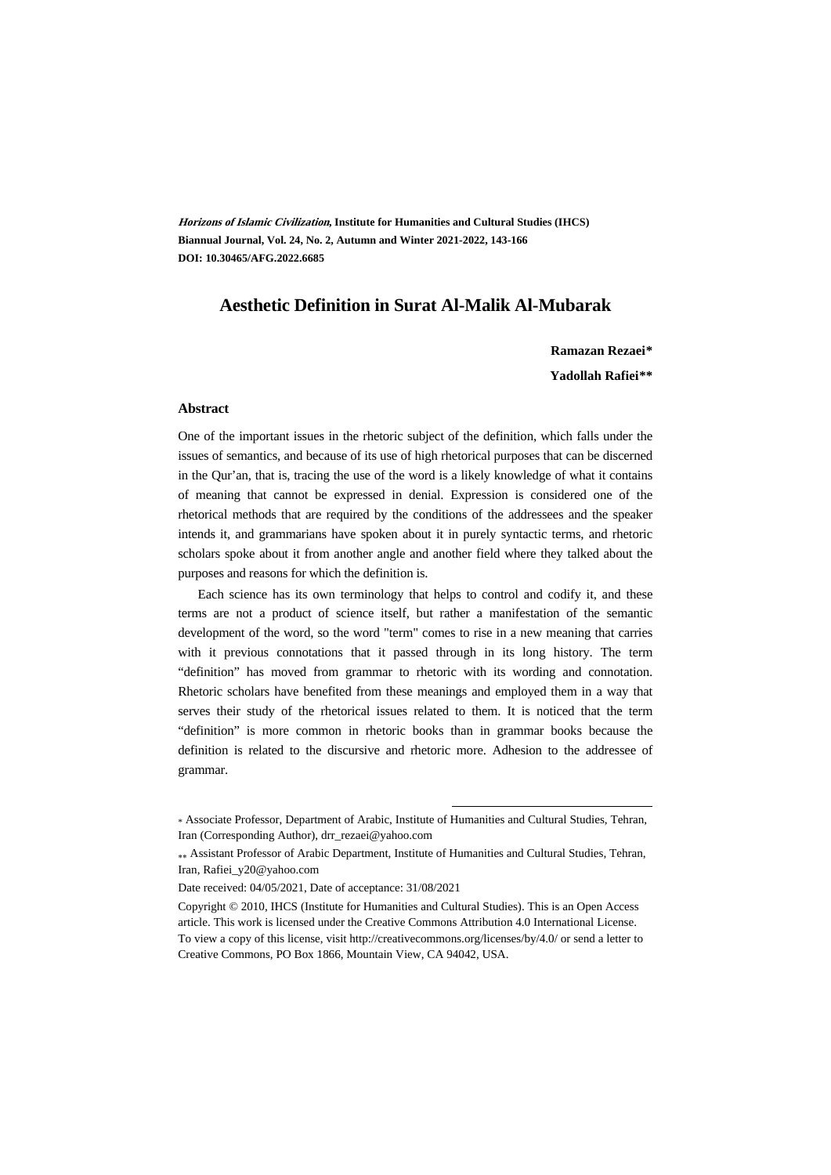**Horizons of Islamic Civilization, Institute for Humanities and Cultural Studies (IHCS) Biannual Journal, Vol. 24, No. 2, Autumn and Winter 2021-2022, 143-166 DOI: 10.30465/AFG.2022.6685**

#### **Aesthetic Definition in Surat Al-Malik Al-Mubarak**

**Ramazan Rezaei\*\***

**Yadollah Rafiei\*\*†**

#### **Abstract**

One of the important issues in the rhetoric subject of the definition, which falls under the issues of semantics, and because of its use of high rhetorical purposes that can be discerned in the Qur'an, that is, tracing the use of the word is a likely knowledge of what it contains of meaning that cannot be expressed in denial. Expression is considered one of the rhetorical methods that are required by the conditions of the addressees and the speaker intends it, and grammarians have spoken about it in purely syntactic terms, and rhetoric scholars spoke about it from another angle and another field where they talked about the purposes and reasons for which the definition is.

Each science has its own terminology that helps to control and codify it, and these terms are not a product of science itself, but rather a manifestation of the semantic development of the word, so the word "term" comes to rise in a new meaning that carries with it previous connotations that it passed through in its long history. The term "definition" has moved from grammar to rhetoric with its wording and connotation. Rhetoric scholars have benefited from these meanings and employed them in a way that serves their study of the rhetorical issues related to them. It is noticed that the term "definition" is more common in rhetoric books than in grammar books because the definition is related to the discursive and rhetoric more. Adhesion to the addressee of grammar.

.

Date received: 04/05/2021, Date of acceptance: 31/08/2021

Copyright © 2010, IHCS (Institute for Humanities and Cultural Studies). This is an Open Access article. This work is licensed under the Creative Commons Attribution 4.0 International License. To view a copy of this license, visit http://creativecommons.org/licenses/by/4.0/ or send a letter to Creative Commons, PO Box 1866, Mountain View, CA 94042, USA.

<sup>\*</sup> Associate Professor, Department of Arabic, Institute of Humanities and Cultural Studies, Tehran, Iran (Corresponding Author), drr\_rezaei@yahoo.com

Assistant Professor of Arabic Department, Institute of Humanities and Cultural Studies, Tehran, Iran, Rafiei\_y20@yahoo.com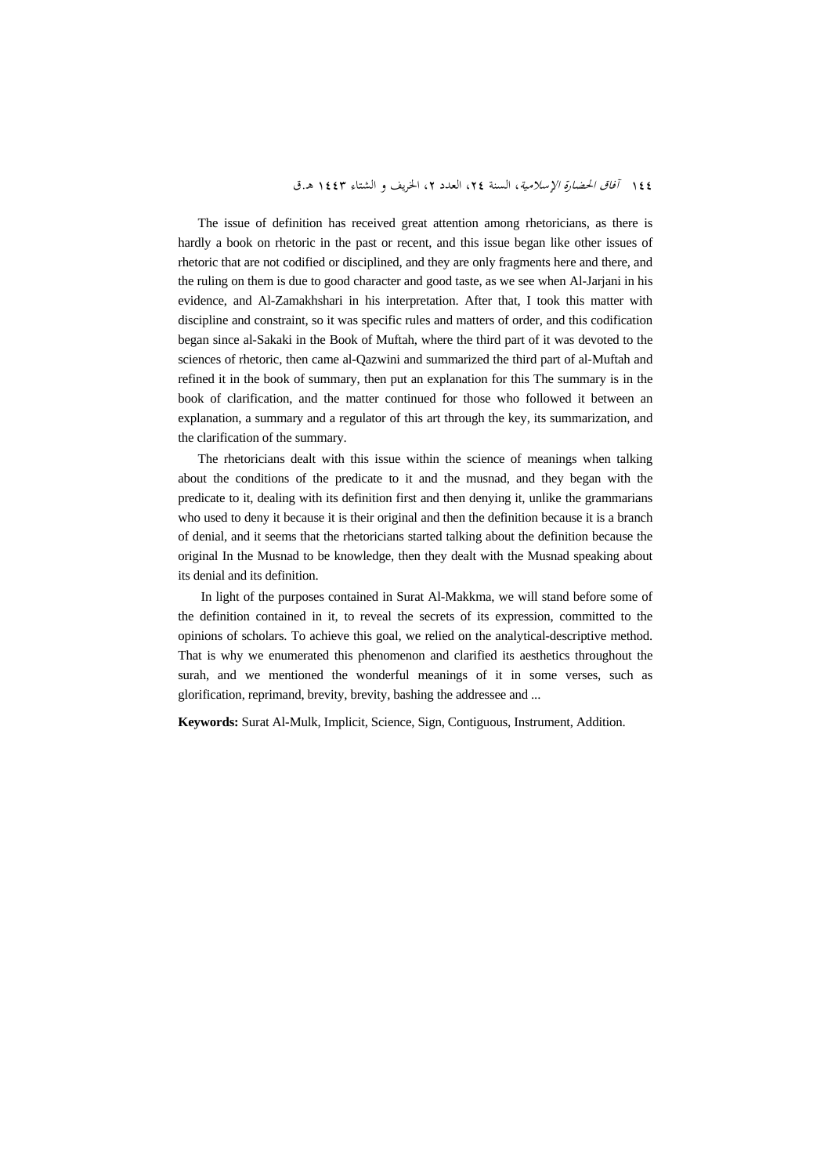#### 145 *آفاق الحضارة الإسلامية*، السنة ٢٤، العدد ٢، الخريف و الشتاء ١٤٤٣ هـ.ق

The issue of definition has received great attention among rhetoricians, as there is hardly a book on rhetoric in the past or recent, and this issue began like other issues of rhetoric that are not codified or disciplined, and they are only fragments here and there, and the ruling on them is due to good character and good taste, as we see when Al-Jarjani in his evidence, and Al-Zamakhshari in his interpretation. After that, I took this matter with discipline and constraint, so it was specific rules and matters of order, and this codification began since al-Sakaki in the Book of Muftah, where the third part of it was devoted to the sciences of rhetoric, then came al-Qazwini and summarized the third part of al-Muftah and refined it in the book of summary, then put an explanation for this The summary is in the book of clarification, and the matter continued for those who followed it between an explanation, a summary and a regulator of this art through the key, its summarization, and the clarification of the summary.

The rhetoricians dealt with this issue within the science of meanings when talking about the conditions of the predicate to it and the musnad, and they began with the predicate to it, dealing with its definition first and then denying it, unlike the grammarians who used to deny it because it is their original and then the definition because it is a branch of denial, and it seems that the rhetoricians started talking about the definition because the original In the Musnad to be knowledge, then they dealt with the Musnad speaking about its denial and its definition.

 In light of the purposes contained in Surat Al-Makkma, we will stand before some of the definition contained in it, to reveal the secrets of its expression, committed to the opinions of scholars. To achieve this goal, we relied on the analytical-descriptive method. That is why we enumerated this phenomenon and clarified its aesthetics throughout the surah, and we mentioned the wonderful meanings of it in some verses, such as glorification, reprimand, brevity, brevity, bashing the addressee and ...

**Keywords:** Surat Al-Mulk, Implicit, Science, Sign, Contiguous, Instrument, Addition.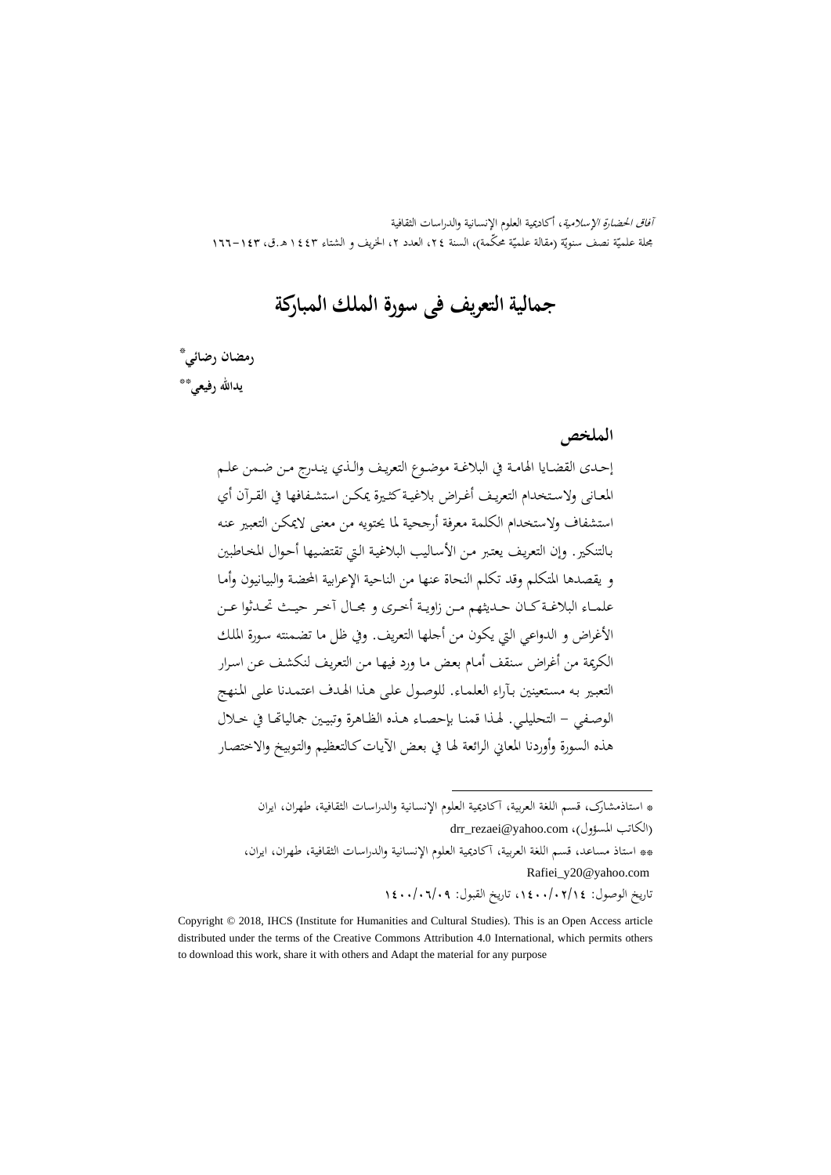آفاق الحضارة الإسلامية، أكاديمية العلوم الإنسانية والدراسات الثقافية بحلة علميّة نصف سنويّة (مقالة علميّة محكّمة)، السنة ٢٤، العدد ٢، الخريف و الشتاء ١٤٤٣ هـ.ق، ١٤٣–١٦٦

# **جمالية التعريف فی سورة الملك المبارکة**

‡ \* **رمضان رضائي** \*\* **يداالله رفيعي**

**الملخص**

إحــدی القضــايا الهامــة في البلاغــة موضــوع التعريــف والــذي ينــدرج مــن ضــمن علــم المعــانی ولاســتخدام التعريــف أغــراض بلاغيــةکثــيرة يمکــن استشــفافها في القــرآن أي استشفاف ولاستخدام الکلمة معرفة أرجحية لما يحتويه من معنـی لايمکـن التعبـير عنـه بـالتنکير. وإن التعريـف يعتـبر مـن الأسـاليب البلاغيـة الـتي تقتضـيها أحـوال المخـاطبين و يقصدها المتکلم وقد تکلم النحاة عنها من الناحية الإعرابية المحضـة والبيـانيون وأمـا علمــاء البلاغــةکــان حــديثهم مــن زاويــة أخــری و مجــال آخــر حيــث تحــدثوا عــن الأغراض و الدواعي التي يکون من أجلها التعريف. وفي ظل ما تضـمنته سـورة الملـك الکريمة من أغراض سـنقف أمـام بعـض مـا ورد فيهـا مـن التعريـف لنکشـف عـن اسـرار التعبـير بـه مسـتعينين بـآراء العلمـاء. للوصـول علـی هـذا الهـدف اعتمـدنا علـی المـنهج الوصــفي - التحليلــي. لهــذا قمنــا بإحصــاء هــذه الظــاهرة وتبيــين جمالياēــا في خــلال هذه السورة وأوردنا المعاني الرائعة لهـا في بعـض الآيـاتکـالتعظيم والتـوبيخ والاختصـار

. \* استاذمشارک، قسم اللغة العربية، آکاديمية العلوم الإنسانية والدراسات الثقافية، طهران، ايران

drr\_rezaei@yahoo.com ،(الكاتب المسؤول) \*\* استاذ مساعد، قسم اللغة العربية، آکاديمية العلوم الإنسانية والدراسات الثقافية، طهران، ايران، Rafiei\_y20@yahoo.com

تاريخ الوصول: ،1400/02/14 تاريخ القبول: 1400/06/09

Copyright © 2018, IHCS (Institute for Humanities and Cultural Studies). This is an Open Access article distributed under the terms of the Creative Commons Attribution 4.0 International, which permits others to download this work, share it with others and Adapt the material for any purpose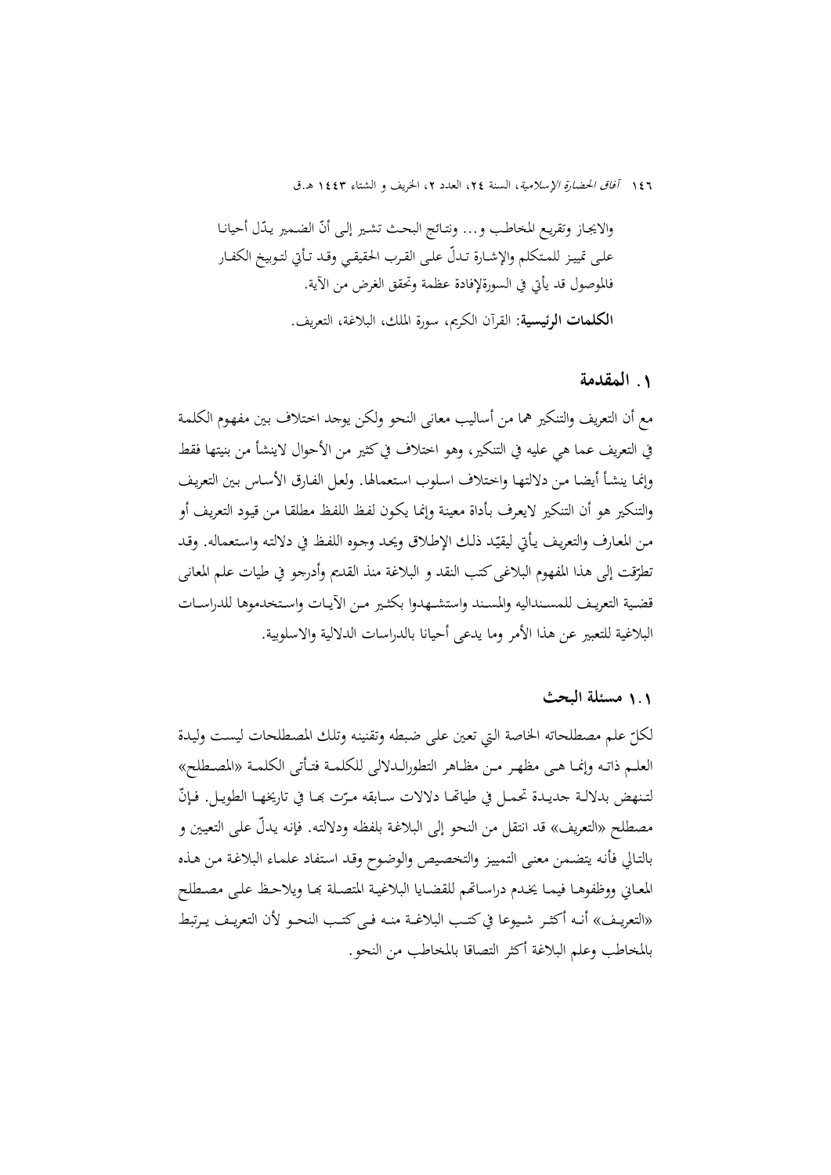والايجـاز وتقريـع المخاطـب و... ونتـائج البحـث تشـير إلـی أنّ الضـمير يـدّل أحيانـا علــی تمييــز للمــتکلم والإشــارة ّ تــدل علــی القــرب الحقيقــي وقــد تــأتي لتــوبيخ الکفــار فالموصول قد يأتي في السورةلإفادة عظمة وتحقق الغرض من الآية. **الکلمات الرئيسية:** القرآن الکريم، سورة الملك، البلاغة، التعريف.

#### **.**1 **المقدمة**

مع أن التعريف والتنکير هما من أساليب معانی النحو ولکن يوجد اخـتلاف بـين مفهـوم الکلمـة في التعريف عما هي عليه في التنکير، وهو اختلاف فيکثير من الأحوال لاينشأ من بنيتها فقط وإنمـا ينشـأ أيضـا مـن دلالتهـا واخـتلاف اسـلوب اسـتعمالها. ولعـل الفـارق الأسـاس بـين التعريـف والتنکير هو أن التنکير لايعـرف بـأداة معينـة وإنمـا يکـون لفـظ اللفـظ مطلقـا مـن قيـود التعريـف أو .<br>-مـن المعـارف والتعريـف يـأتي ليقيد ذلـك الإطـلاق ويحـد وجـوه اللفـظ في دلالتـه واسـتعماله. وقـد ّ تطرّقت إلى هذا المفهوم البلاغي كتب النقد و البلاغة منذ القديم وأدرجو في طيات علم المعاني قضــية التعريــف للمســنداليه والمســند واستشــهدوا بکثــير مــن الآيــات واســتخدموها للدراســات البلاغية للتعبير عن هذا الأمر وما يدعی أحيانا بالدراسات الدلالية والاسلوبية.

## 1**.**1 **مسئلة البحث**

لکل علم مصطلحاته الخاصة الـتي تعـين علـی ضـبطه وتقنينـه وتلـك المصـطلحات ليسـت وليـدة ّ العلــم ذاتــه وإنمــا هــی مظهــر مــن مظــاهر التطورالــدلالی للکلمــة فتــأتی الکلمــة «المصــطلح» لتـنهض بدلالـة جديـدة تحمـل في طياتهــا دلالات ســابقه مـرّت بهـا في تاريخهـا الطويـل. فـإنّ مصطلح «التعريف» قد انتقل من النحو إلی البلاغـة بلفظـه ودلالتـه. فإنـه ّ يـدل علـی التعيـين و بالتـالي فأنـه يتضـمن معنـی التمييـز والتخصـيص والوضـوح وقـد اسـتفاد علمـاء البلاغـة مـن هـذه المعـاني ووظفوهـا فيمـا يخـدم دراسـاقمم للقضـايا البلاغيـة المتصـلة بحـا ويلاحـظ علـى مصـطلح «التعريـف» أنــه أكثـر شـيوعا في كتـب البلاغــة منــه فــي كتـب النحــو لأن التعريـف يـرتبط بالمخاطب وعلم البلاغة أکثر التصاقا بالمخاطب من النحو.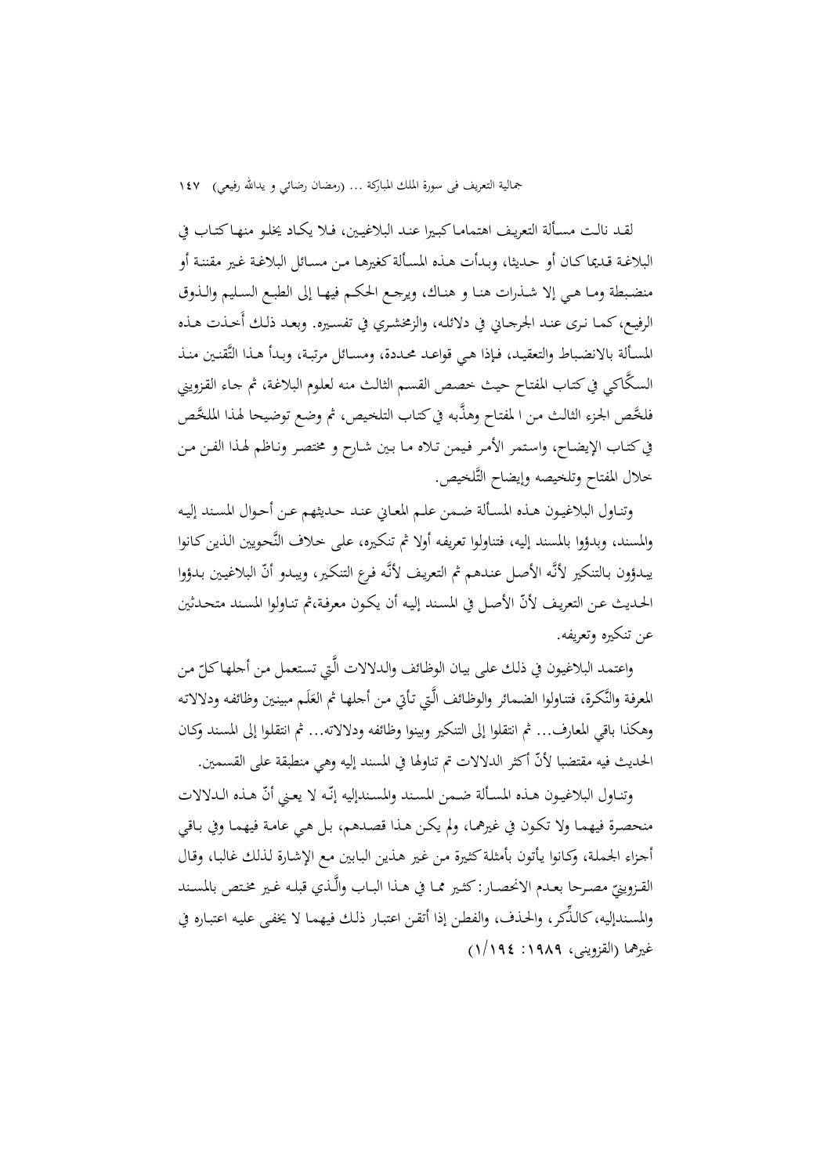لقـد نالـت مسـألة التعريـف اهتمامـاكبـيرا عنـد البلاغيـين، فـلا يكـاد يخلـو منهـاكتـاب في البلاغـة قـديماکـان أو حـديثا، وبـدأت هـذه المسـألةكغيرهـا مـن مسـائل البلاغـة غـير مقننـة أو منضــبطة ومــا هــي إلا شــذرات هنــا و هنــاك، ويرجــع الحكــم فيهــا إلى الطبــع الســليم والــذوق الرفيـع،كمـا نـرى عنـد الجرجـاني في دلائلـه، والزمخشـري في تفسـيره. وبعـد ذلـك أَخـذت هـذه المسـألة بالانضـباط والتعقيـد، فـإذا هـي قواعـد محـددة، ومسـائل مرتبـة، وبـدأ هـذا التَّقنـين منـذ السكَّاكي في كتـاب المفتـاح حيـث خصص القسـم الثالـث منه لعلـوم البلاغـة، ثم جـاء القـزويني فلخَّص الجزء الثالث من ا لمفتاح وهذَّبه في كتاب التلخيص، ثم وضع توضيحا لهذا الملخَّص فيكتـاب الإيضـاح، واسـتمر الأمـر فـيمن تـلاه مـا بـين شـارح و مختصـر ونـاظم لهـذا الفـن مـن خلال المفتاح وتلخيصه وإيضاح التَّلخيص.

وتنـاول البلاغيـون هـذه المسـألة ضـمن علـم المعـاني عنـد حـديثهم عـن أحـوال المسـند إليـه والمسند، وبدؤوا بالمسند إليه، فتناولوا تعريفـه أولا ثم تنكـيره، علـى خـلاف النَّحـويين الـذينكـانوا يبـدؤون بـالتنكير لأنَّـه الأصـل عنـدهم ثم التعريف لأنَّـه فـرع التنكير، ويبـدو أنّ البلاغيـين بـدؤوا الحـديث عـن التعريـف ّلأن الأصـل في المسـند إليـه أن يكـون معرفـة،ثم تنـاولوا المسـند متحـدثين عن تنكيره وتعريفه.

واعتمد البلاغيون في ذلك على بيان الوظائف والدلالات الَّتي تستعمل من أجلها كلّ من المعرفة والنَّكرة، فتناولوا الضمائر والوظائف الَّتي تأتي من أجلها ثم العَلَم مبينين وظائفه ودلالاته  $\overline{a}$ وهكذا باقي المعارف... ثم انتقلوا إلى التنكير وبينوا وظائفه ودلالاته... ثم انتقلـوا إلى المسـند وكـان الحديث فيه مقتضبا ّلأن أكثر الدلالات تم تناولها في المسند إليه وهي منطبقة على القسمين.

وتنـاول البلاغيـون هـذه المسـألة ضـمن المسـند والمسـندإليه إنّـه لا يعـني أنّ هـذه الـدلالات منحصـرة فيهمـا ولا تكـون في غيرهمـا، ولم يكـن هـذا قصـدهم، بـل هـي عامـة فيهمـا وفي بـاقي أجـزاء الجملة، وكـانوا يـأتون بأمثلة كثيرة مـن غـير هـذين البـابين مـع الإشـارة لـذلك غالبـا، وقـال القـزوينيّ مصـرحا بعـدم الانحصـار: كثـير ممـا في هــذا البــاب والَّـذي قبلـه غـير مخـتص بالمسـند<br>ّ مصــر والمسـندإليه، ِّ كالـذكر، والحـذف، والفطـن إذا أتقـن اعتبـار ذلـك فيهمـا لا يخفـى عليـه اعتبـاره في غيرهما (القزوينی، :1989 1/194)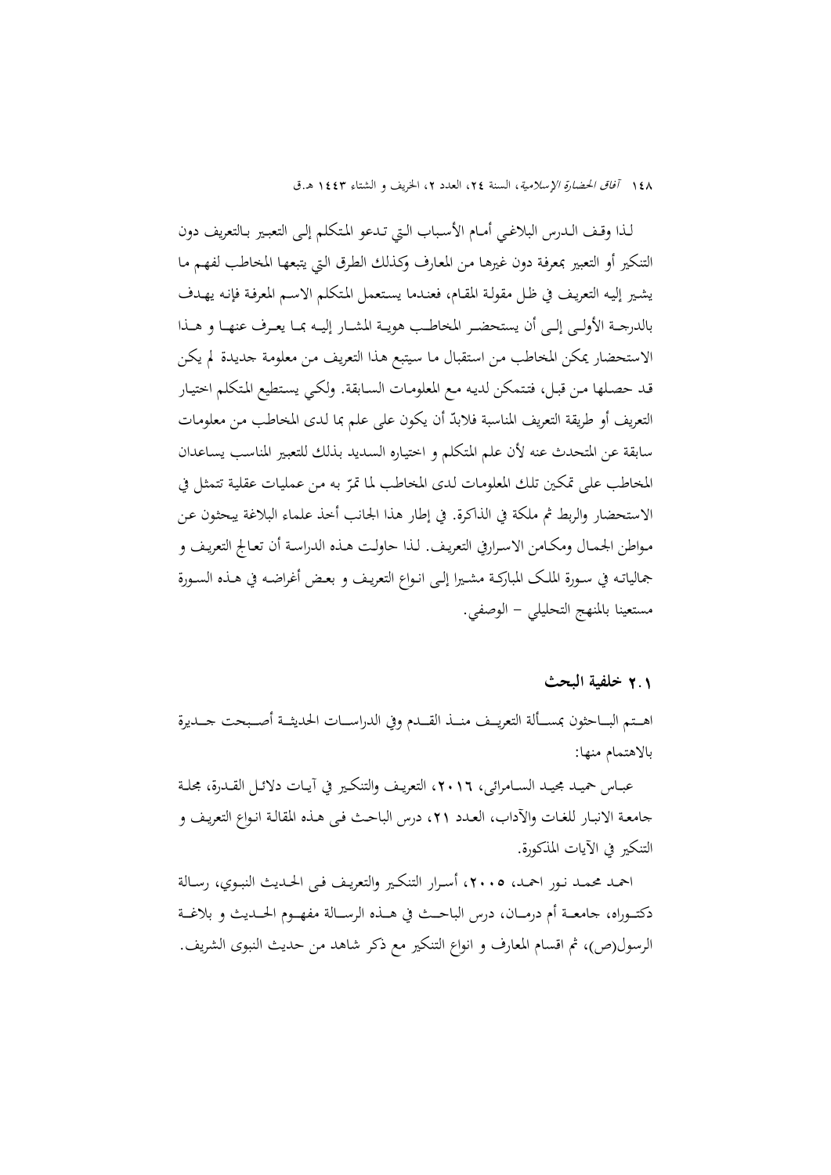لــذا وقــف الــدرس البلاغــي أمــام الأســباب الــتي تــدعو المــتکلم إلــی التعبــير بــالتعريف دون التنکير أو التعبير بمعرفـة دون غيرهـا مـن المعـارف وکـذلك الطـرق الـتي يتبعهـا المخاطـب لفهـم مـا يشـير إليـه التعريـف في ظـل مقولـة المقـام، فعنـدما يسـتعمل المـتکلم الاسـم المعرفـة فإنـه يهـدف بالدرجـــة الأولـــی إلـــی أن يستحضـــر المخاطـــب هويـــة المشـــار إليـــه بمـــا يعـــرف عنهـــا و هـــذا الاستحضار يمکن المخاطب مـن اسـتقبال مـا سـيتبع هـذا التعريـف مـن معلومـة جديـدة لم يکـن قـد حصـلها مـن قبـل، فتـتمکن لديـه مـع المعلومـات السـابقة. ولکـي يسـتطيع المـتکلم اختيـار التعريف أو طريقة التعريف المناسبة فلابدّ أن يكون على علم بما لدى المخاطب من معلومـات سابقة عن المتحدث عنه لأن علم المـتکلم و اختيـاره السـديد بـذلك للتعبـير المناسـب يسـاعدان المخاطب على تمكين تلك المعلومات لدى المخاطب لما تمرّ به من عمليات عقلية تتمثل في الاستحضار والربط ثم ملکة في الذاکرة. في إطار هذا الجانب أخذ علماء البلاغة يبحثـون عـن مـواطن الجمـال ومکـامن الاسـرارفي التعريـف. لـذا حاولـت هـذه الدراسـة أن تعـالج التعريـف و جمالياتــه في ســورة الملــک المبارکــة مشــيرا إلــی انــواع التعريــف و بعــض أغراضــه في هــذه الســورة مستعينا بالمنهج التحليلي - الوصفي.

#### 2**.**1 **خلفية البحث**

اهــتم البـــاحثون بمســألة التعريــف منـــذ القـــدم وفي الدراســـات الحديثــة أصـــبحت جــديرة بالاهتمام منها:

عبــاس حميــد مجيــد الســـامرائـي، ١٦. ١٢، التعريـف والتنكــير في آيــات دلائــل القــدرة، مجحلـة جامعـة الانبـار للغـات والآداب، العـدد ،21 درس الباحـث فـی هـذه المقالـة انـواع التعريـف و التنکير في الآيات المذکورة.

احمـد محمـد نـور احمـد، ٢٠٠٥، أسـرار التنكـير والتعريـف فـي الحـديث النبـوي، رسـالة دکتـــوراه، جامعـــة أم درمـــان، درس الباحـــث في هـــذه الرســـالة مفهـــوم الحـــديث و بلاغـــة الرسول(ص)، ثم اقسام المعارف و انواع التنکير مع ذکر شاهد من حديث النبوی الشريف.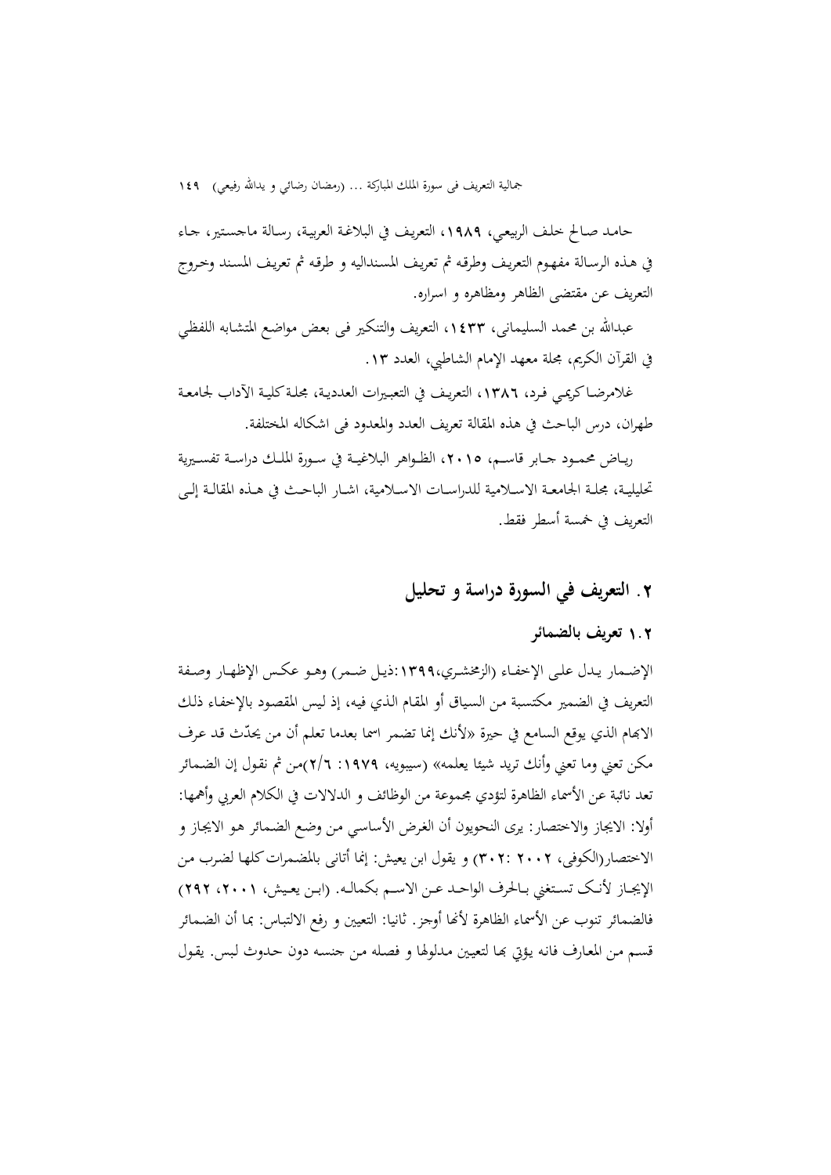حامـد صـالح خلـف الربيعـي، ،1989 التعريـف في البلاغـة العربيـة، رسـالة ماجسـتير، جـاء في هـذه الرسـالة مفهـوم التعريـف وطرقـه ثم تعريـف المسـنداليه و طرقـه ثم تعريـف المسـند وخـروج التعريف عن مقتضی الظاهر ومظاهره و اسراره.

عبداالله بن محمد السليمانی، ،1433 التعريف والتنکـير فـی بعـض مواضـع المتشـابه اللفظـي في القرآن الکريم، مجلة معهد الإمام الشاطبي، العدد .13

غلامرضــاکريمـي فـرد، ١٣٨٦، التعريـف في التعبـيرات العدديـة، مجلـة کليــة الآداب لجـامعـة طهران، درس الباحث في هذه المقالة تعريف العدد والمعدود فی اشکاله المختلفة.

ريــاض محمــود جــابر قاســم، ،2015 الظــواهر البلاغيــة في ســورة الملــك دراســة تفســيرية تحليليــة، مجلــة الجامعــة الاســلامية للدراســات الاســلامية، اشــار الباحــث في هــذه المقالــة إلــی التعريف في خمسة أسطر فقط.

# **.**2 **التعريف في السورة دراسة و تحليل**

# 1**.**2 **تعريف بالضمائر**

الإضــمار يــدل علــی الإخفــاء (الزمخشــري:1399،ذيــل ضــمر) وهــو عکــس الإظهــار وصــفة التعريف في الضمير مکتسـبة مـن السـياق أو المقـام الـذي فيـه، إذ لـيس المقصـود بالإخفـاء ذلـك الابهام الذي يوقع السامع في حيرة «لأنك إنما تضمر اسما بعدما تعلم أن من يحدّث قد عرف مکن تعني وما تعني وأنك تريد شيئا يعلمه» (سيبويه، :1979 2/6)مـن ثم نقـول إن الضـمائر تعد نائبة عن الأسماء الظاهرة لتؤدي مجموعة من الوظائف و الدلالات في الکلام العربي وأهمها: أولا: الايجاز والاختصار: يری النحويون أن الغـرض الأساسـي مـن وضـع الضـمائر هـو الايجـاز و الاختصار(الکوفی، 2002 302:) و يقول ابن يعيش: إنما أتانی بالمضـمراتکلهـا لضـرب مـن الإيجــاز لأنــک تســتغني بــالحرف الواحــد عــن الاســم بکمالــه. (ابــن يعــيش، ،2001 292) فالضمائر تنوب عن الأسماء الظاهرة لأنها أوجز. ثانيا: التعيين و رفع الالتبـاس: بمـا أن الضـمـائر قسـم مـن المعـارف فانـه يـؤتي بهـا لتعيـين مـدلولها و فصـله مـن جنسـه دون حـدوث لـبس. يقـول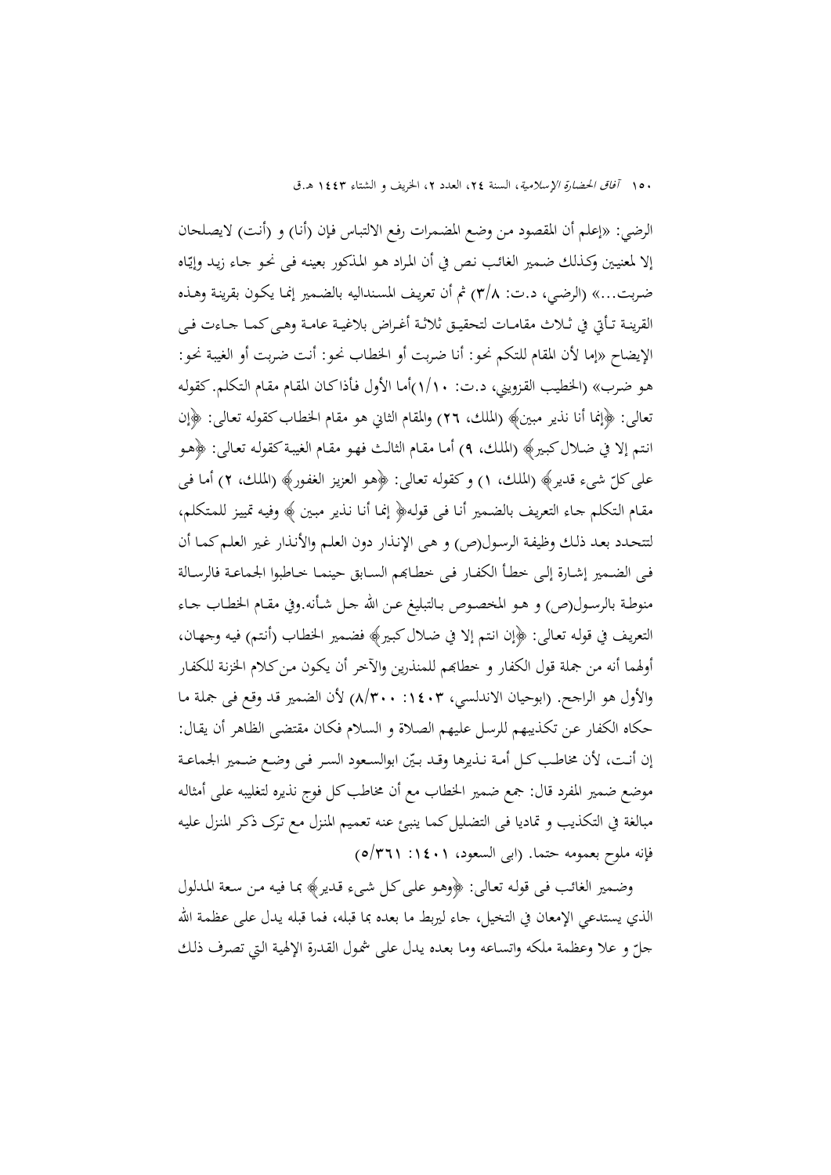الرضي: «إعلم أن المقصود مـن وضـع المضـمرات رفـع الالتبـاس فـإن (أنـا) و (أنـت) لايصـلحان إلا لمعنيين وكـذلك ضـمير الغائب نص في أن المراد هـو المذكور بعينه فـي نحـو جـاء زيـد وإيّاه ضـربت...» (الرضـي، د.ت: 3/8) ثم أن تعريـف المسـنداليه بالضـمير إنمـا يکـون بقرينـة وهـذه القرينــة تــأتي في ثــلاث مقامــات لتحقيــق ثلاثــة أغــراض بلاغيــة عامــة وهــیکمــا جــاءت فــی الإيضاح «إما لأن المقام للـتکم نحـو: أنـا ضـربت أو الخطـاب نحـو: أنـت ضـربت أو الغيبـة نحـو: هـو ضـرب» (الخطيـب القـزويني، د.ت: 1/10)أمـا الأول فـأذاکـان المقـام مقـام الـتکلم. کقولـه تعالی: ﴿إنما أنا نذير مبين﴾ (الملك، 26) والمقام الثاني هو مقام الخطـابکقولـه تعـالی: ﴿إن انـتم إلا في ضـلال كبـير﴾ (الملك، ٩) أمـا مقـام الثالـث فهـو مقـام الغيبـة كقولـه تعـالى: ﴿هـو علی کلّ شیء قدير﴾ (الملك، ١) و کقوله تعالی: ﴿هو العزيز الغفور﴾ (الملك، ٢) أما فـی مقـام الـتکلم جـاء التعريـف بالضـمير أنـا فـی قولـه﴿ إنمـا أنـا نـذير مبـين ﴾ وفيـه تمييـز للمـتکلم، لتتحـدد بعـد ذلـك وظيفـة الرسـول(ص) و هـی الإنـذار دون العلـم والأنـذار غـير العلـمکمـا أن فـي الضـمير إشــارة إلـي خطـأ الكفـار فـي خطـابهم السـابق حينمـا خـاطبوا الجماعـة فالرسـالة منوطـة بالرســول(ص) و هــو المخصــوص بــالتبليغ عــن االله جــل شــأنه.وفي مقــام الخطــاب جــاء التعريـف في قولـه تعـالی: ﴿إن انـتم إلا في ضـلالکبـير﴾ فضـمير الخطـاب (أنـتم) فيـه وجهـان، أولهما أنه من جملة قول الکفار و خطابهم للمنذرين والآخر أن يکون من کلام الخزنة للکفار والأول هو الراجح. (ابوحيان الاندلسي، ١٤٠٣: ٨/٣٠٠) لأن الضمير قد وقع في جملة مـا حکاه الکفار عـن تکـذيبهم للرسـل علـيهم الصـلاة و السـلام فکـان مقتضـی الظـاهر أن يقـال: إن أنـت، لأن مخاطـب كـل أمـة نـذيرها وقـد بـيّن ابوالسـعود السـر فـي وضـع ضـمير الجماعـة موضع ضمير المفرد قال: جمع ضمير الخطاب مع أن مخاطب كل فوج نذيره لتغليبه على أمثاله مبالغة في التكذيب و تماديا في التضليل كمـا ينبـئ عنه تعميم المنزل مـع ترک ذکـر المنـزل عليـه فإنه ملوح بعمومه حتما. (ابی السعود، ١٤٠١: ٥/٣٦١)

وضـمير الغائـب فـی قولـه تعـالی: ﴿وهـو علـیکـل شـیء قـدير﴾ بمـا فيـه مـن سـعة المـدلول الذي يستدعي الإمعان في التخيل، جاء ليربط ما بعده بما قبله، فما قبله يـدل علـی عظمـة االله جلّ و علا وعظمة ملكه واتسـاعه ومـا بعـده يـدل على شمول القـدرة الإلهية الـتي تصرف ذلك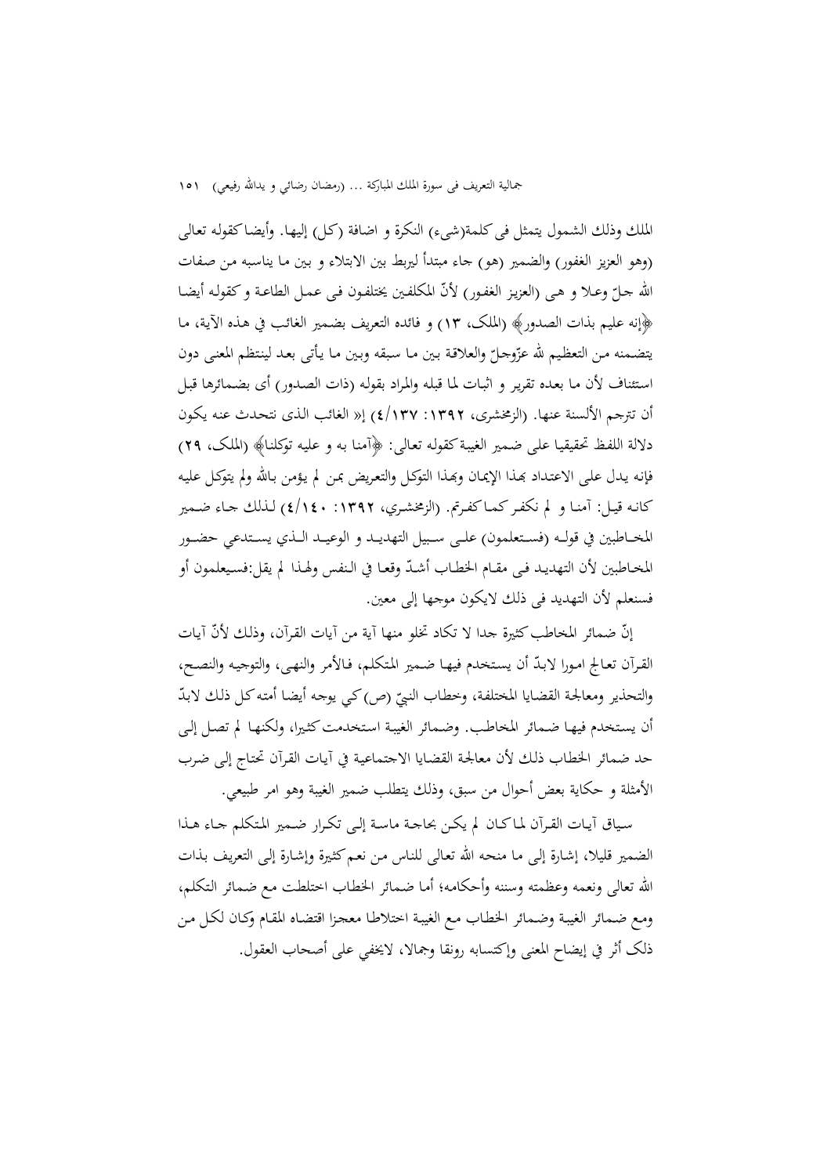الملك وذلك الشمول يتمثل فیکلمة(شیء) النکرة و اضافة (کـل) إليهـا. وأيضـاکقولـه تعـالی (وهو العزيز الغفور) والضمير (هو) جاء مبتدأ ليربط بين الابتلاء و بـين مـا يناسـبه مـن صـفات الله جـلّ وعـلا و هـي (العزيز الغفور) لأنّ المكلفـين يختلفـون فـي عـمـل الطاعـة و كقولـه أيضـا ﴿إنه عليم بذات الصدور﴾ (الملک، 13) و فائده التعريف بضـمير الغائـب في هـذه الآيـة، مـا يتضمنه من التعظيم لله عزّوجلّ والعلاقة بين مـا سبقه وبين مـا يأتي بعـد لينتظم المعنى دون اسـتئناف لأن مـا بعـده تقريـر و اثبـات لمـا قبلـه والمـراد بقولـه (ذات الصـدور) أی بضـمائرها قبـل أن تترجم الألسنة عنها. (الزمخشری، :1392 4/137) إ« الغائب الـذی نتحـدث عنـه يکـون دلالة اللفـظ تحقيقيـا علـی ضـمير الغيبـةکقولـه تعـالی: ﴿آمنـا بـه و عليـه توکلنـا﴾ (الملـک، 29) فإنه يـدل علـی الاعتـداد بحذا الإيمـان وبِمـذا التوکـل والتعريض بمـن لم يـؤمـن بـالله ولم يتوکـل عليـه کانــه قيــل: آمنــا و لم نکفــرکمــاکفــرتم. (الزمخشــري، :1392 4/140) لــذلك جــاء ضــمير المخـــاطبين في قولـــه (فســـتعلمون) علـــی ســـبيل التهديـــد و الوعيـــد الـــذي يســـتدعي حضـــور المحاطبين لأن التهديـد فـي مقـام الخطـاب أشـدّ وقعـا في الـنفس ولهـذا لم يقل:فسـيعلمون أو فسنعلم لأن التهديد فی ذلك لايکون موجها إلی معين.

إنّ ضمائر المحاطب كثيرة جدا لا تكاد تخلو منها آية من آيات القرآن، وذلك لأنّ آيات القرآن تعالج امورا لابدّ أن يستخدم فيهـا ضمير المتكلم، فـالأمر والنهـي، والتوجيه والنصـح، والتحذير ومعالجة القضايا المختلفة، وخطاب النبيّ (ص) کبي يوجه أيضا أمته کل ذلك لابدّ أن يستخدم فيهـا ضـمائر المخاطب. وضـمائر الغيبـة استخدمت کثـيرا، ولکنهـا لم تصـل إلـی حد ضمائر الخطـاب ذلـك لأن معالجـة القضـايا الاجتماعيـة في آيـات القـرآن تحتـاج إلـی ضـرب الأمثلة و حکاية بعض أحوال من سبق، وذلك يتطلب ضمير الغيبة وهو امر طبيعي.

ســياق آيــات القــرآن لمــاکــان لم يکــن بحاجــة ماســة إلــی تکــرار ضــمير المــتکلم جــاء هــذا الضمير قليلا، إشـارة إلـی مـا منحـه االله تعـالی للنـاس مـن نعـمکثـيرة وإشـارة إلـی التعريـف بـذات االله تعالی ونعمه وعظمته وسننه وأحکامـه؛ أمـا ضـمائر الخطـاب اختلطـت مـع ضـمائر الـتکلم، ومـع ضـمائر الغيبـة وضـمائر الخطـاب مـع الغيبـة اختلاطـا معجـزا اقتضـاه المقـام وکـان لکـل مـن ذلک أثر في إيضاح المعنی وإکتسابه رونقا وجمالا، لايخفي علی أصحاب العقول.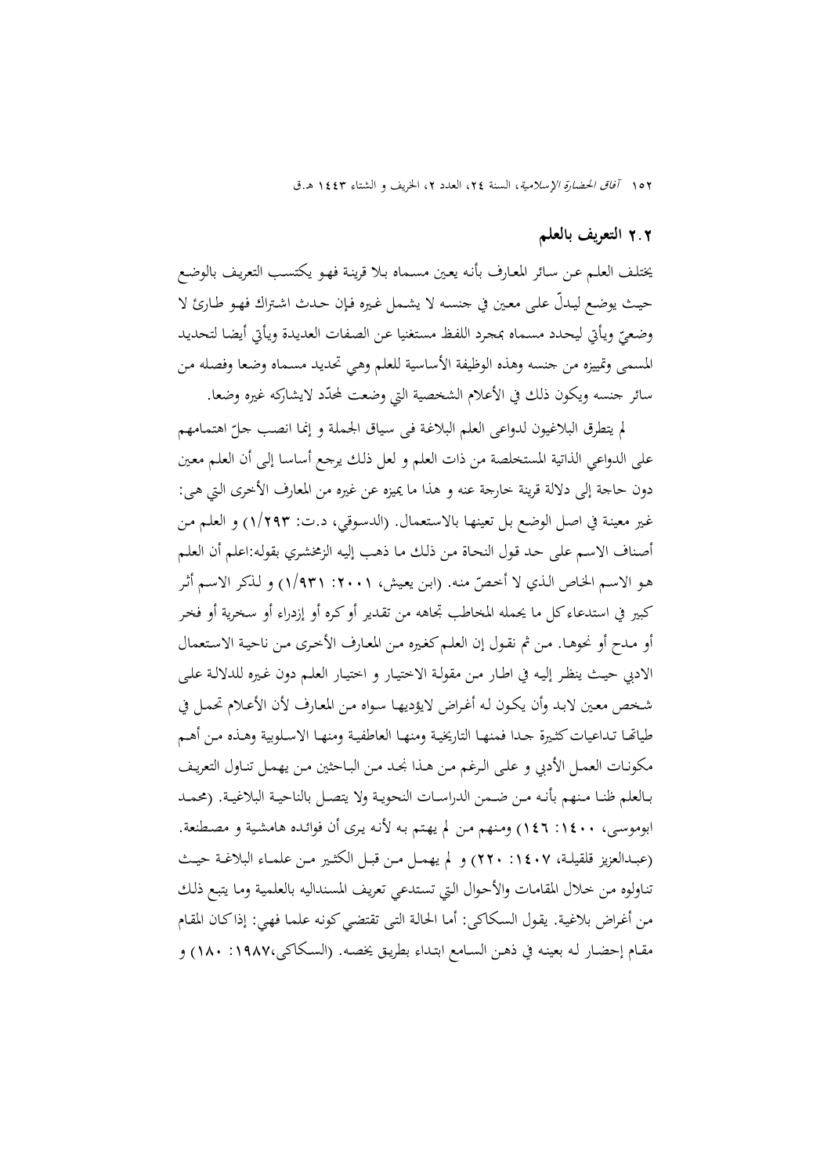### 2**.**2 **التعريف بالعلم**

يختلـف العلـم عـن سـائر المعـارف بأنـه يعـين مسـماه بـلا قرينـة فهـو يکتسـب التعريـف بالوضـع حيـث يوضـع ّ ليـدل علـی معـين في جنسـه لا يشـمل غـيره فـإن حـدث اشـتراك فهـو طـارئ لا وضعيّ ويأتي ليحدد مسـماه بمحرد اللفظ مستغنيا عـن الصفات العديدة ويأتي أيضا لتحديد<br>. المسمی وتمييزه من جنسه وهذه الوظيفة الأساسية للعلم وهـي تحديـد مسـماه وضـعا وفصـله مـن سائر جنسه ويکون ذلك في الأعلام الشخصية التي وضعت ّلمحدد لايشارکه غيره وضعا.

لم يتطرق البلاغيون لدواعی العلم البلاغـة فـی سـياق الجملـة و إنمـا انصـب جـل اهتمـامهم ّ علی الدواعي الذاتية المستخلصة من ذات العلم و لعل ذلـك يرجـع أساسـا إلـی أن العلـم معـين دون حاجة إلی دلالة قرينة خارجة عنه و هذا ما يميزه عن غيره من المعارف الأخری الـتي هـی: غـير معينـة في اصـل الوضـع بـل تعينهـا بالاسـتعمال. (الدسـوقي، د.ت: 1/293) و العلـم مـن أصـناف الاسـم علـی حـد قـول النحـاة مـن ذلـك مـا ذهـب إليـه الزمخشـري بقولـه:اعلم أن العلـم هـو الاسـم الخـاص الـذي لا أخـصّ منـه. (ابن يعيش، ٢٠٠١: ١/٩٣١) و لـذکر الاسـم أثـر کبير في استدعاءکل ما يحمله المخاطب تجاهه من تقـدير أوکـره أو إزدراء أو سـخرية أو فخـر أو مـدح أو نحوهـا. مـن ثم نقـول إن العلـمکغـيره مـن المعـارف الأخـری مـن ناحيـة الاسـتعمال الادبي حيـث ينظـر إليـه في اطـار مـن مقولـة الاختيـار و اختيـار العلـم دون غـيره للدلالـة علـی شـخص معـين لابـد وأن يکـون لـه أغـراض لايؤديهـا سـواه مـن المعـارف لأن الأعـلام تحمـل في طياقــا تـداعيات كثـيرة جـدا فمنهـا التاريخيـة ومنهـا العاطفيـة ومنهـا الاسـلوبية وهـذه مـن أهـم مکونـات العمــل الأدبي و علــی الــرغم مـن هــذا نجــد مــن البـاحثين مــن يهمــل تنــاول التعريــف بــالعلم ظنــا مــنهم بأنــه مــن ضــمن الدراســات النحويــة ولا يتصــل بالناحيــة البلاغيــة. (محمــد ابوموسـی، :1400 146) ومـنهم مـن لم يهـتم بـه لأنـه يـری أن فوائـده هامشـية و مصـطنعة. (عبــدالعزيز قلقيلــة، :1407 220) و لم يهمــل مــن قبــل الکثــير مــن علمــاء البلاغــة حيــث تنـاولوه مـن خـلال المقامـات والأحـوال الـتي تسـتدعي تعريـف المسـنداليه بالعلميـة ومـا يتبـع ذلـك مـن أغـراض بلاغيـة. يقـول السـكـاكـي: أمـا الحـالـة التـي تقتضـي كـونـه علمـا فـهـي: إذاكـان المقـام مقـام إحضـار لـه بعينـه في ذهـن السـامع ابتـداء بطريـق يخصـه. (السـکاکی:1987، 180) و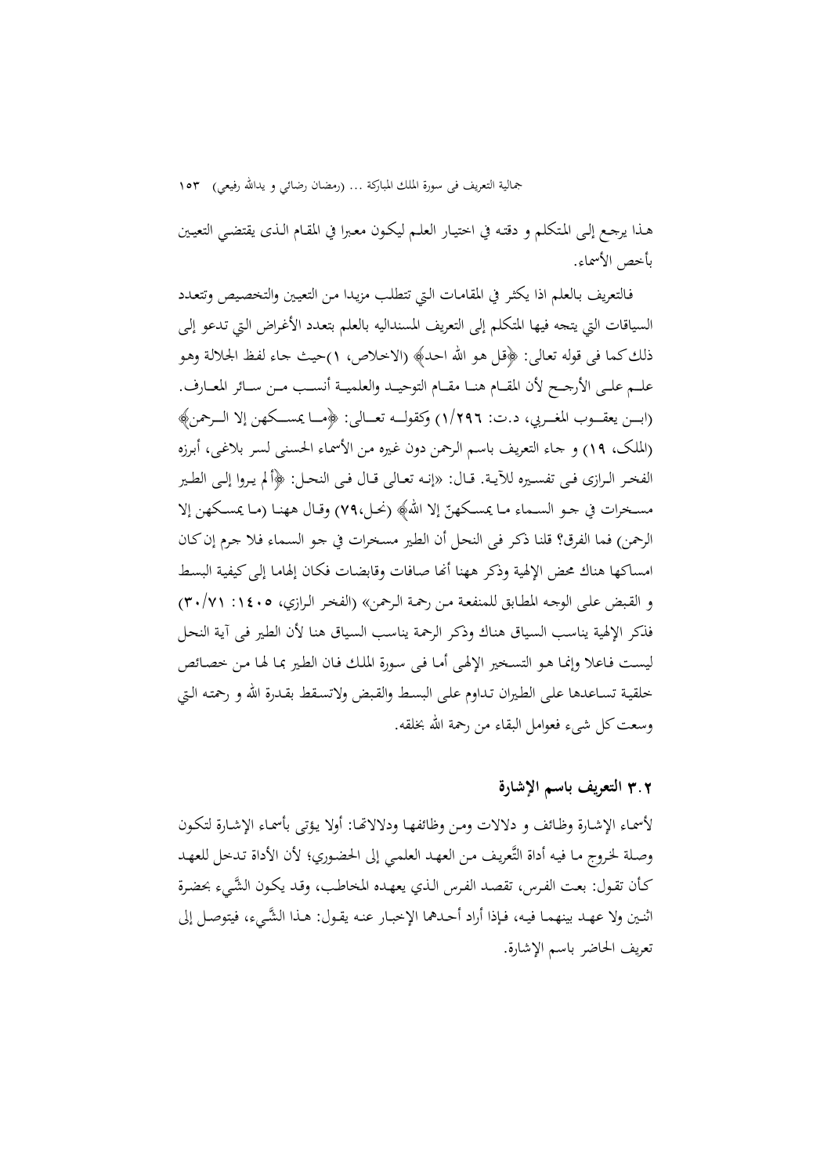هـذا يرجـع إلـی المـتکلم و دقتـه في اختيـار العلـم ليکـون معـبرا في المقـام الـذی يقتضـي التعيـين بأخص الأسماء.

فـالتعريف بـالعلم اذا يکثـر في المقامـات الـتي تتطلـب مزيـدا مـن التعيـين والتخصـيص وتتعـدد السياقات التي يتجه فيها المتکلم إلی التعريف المسنداليه بالعلم بتعـدد الأغـراض الـتي تـدعو إلـی ذلكکما فی قوله تعـالی: ﴿قـل هـو االله احـد﴾ (الاخـلاص، 1)حيـث جـاء لفـظ الجلالـة وهـو علـــم علـــی الأرجـــح لأن المقـــام هنـــا مقـــام التوحيـــد والعلميـــة أنســـب مـــن ســـائر المعـــارف. (ابــــن يعقــــوب المغــــربي، د.ت: 1/296) وکقولــــه تعــــالی: ﴿مــــا يمســــکهن إلا الــــرحمن﴾ (الملـک، 19) و جـاء التعريـف باسـم الـرحمن دون غـيره مـن الأسمـاء الحسـنی لسـر بلاغـی، أبـرزه الفخــر الــرازی فــی تفســيره للآيــة. قــال: «إنــه تعــالی قــال فــی النحــل: ﴿ألم يــروا إلــی الطــير مسـخرات في جـو السـماء مـا يمسـكهنّ إلا الله﴾ (نحـل،٧٩) وقـال ههنـا (مـا يمسـكهن إلا الرحمن) فما الفرق؟ قلنـا ذکـر فـی النحـل أن الطـير مسـخرات في جـو السـماء فـلا جـرم إنکـان امساکها هناك محض الإلهية وذکر ههنا أنها صـافات وقابضـات فکـان إلهامـا إلـی کيفيـة البسـط و القـبض علـی الوجـه المطـابق للمنفعـة مـن رحمـة الـرحمن» (الفخـر الـرازي، :1405 30/71) فذکر الإلهية يناسـب السـياق هنـاك وذکـر الرحمـة يناسـب السـياق هنـا لأن الطـير فـی آيـة النحـل ليسـت فـاعلا وإنمـا هـو التسـخير الإلهـی أمـا فـی سـورة الملـك فـان الطـير بمـا لهـا مـن خصـائص خلقيـة تسـاعدها علـی الطـيران تـداوم علـی البسـط والقـبض ولاتسـقط بقـدرة االله و رحمتـه الـتي وسعتکل شیء فعوامل البقاء من رحمة االله بخلقه.

## 3**.**2 **التعريف باسم الإشارة**

لأسمـاء الإشـارة وظـائف و دلالات ومـن وظائفهـا ودلالاēـا: أولا يـؤتى بأسمـاء الإشـارة لتكـون وصـلة لخـروج مـا فيـه أداة التَّعريـف مـن العهـد العلمـي إلى الحضـوري؛ لأن الأداة تـدخل للعهـد كـأن تقـول: بعـت الفـرس، تقصـد الفـرس الـذي يعهـده المخاطـب، وقـد يكـون َّ الشـيء بحضـرة اثنــين ولا عهــد بينهمــا فيــه، فــإذا أراد أحــدهما الإخبــار عنــه يقــول: هــذا َّ الشــيء، فيتوصــل إلى تعريف الحاضر باسم الإشارة.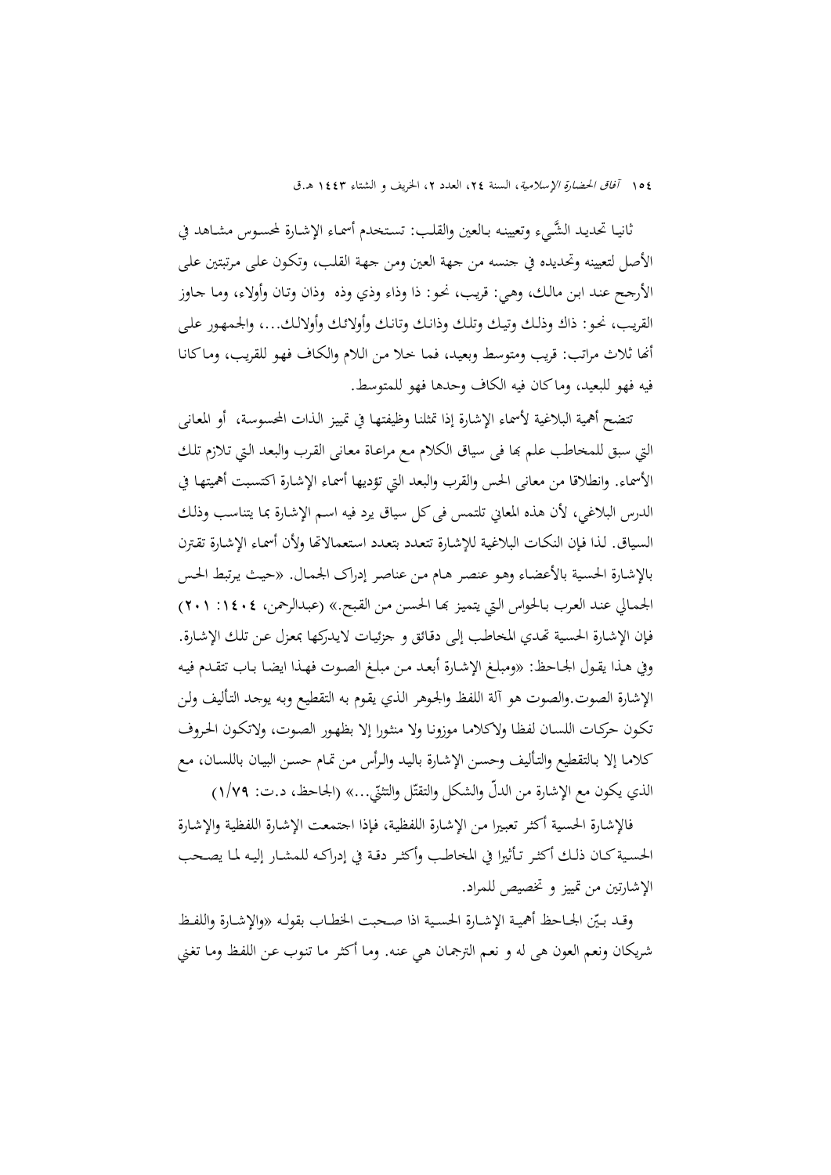ثانيـا تحديـد الشَّـيء وتعيينـه بـالعين والقلب: تستخدم أسمـاء الإشـارة لمحسـوس مشـاهد في الأصل لتعيينه وتحديده في جنسه من جهة العين ومن جهـة القلـب، وتكـون علـى مـرتبتين علـى الأرجـح عنـد ابـن مالـك، وهـي: قريـب، نحـو: ذا وذاء وذي وذه وذان وتـان وأولاء، ومـا جـاوز القريـب، نحـو: ذاك وذلـك وتيـك وتلـك وذانـك وتانـك وأولائـك وأولالـك،... والجمهـور علـى أنها ثلاث مراتب: قريب ومتوسط وبعيد، فمـا حـلا مـن الـلام والكـاف فهو للقريب، ومـاكـانـا فيه فهو للبعيد، وماكان فيه الكاف وحدها فهو للمتوسط.

تتضح أهمية البلاغية لأسماء الإشارة إذا تمثلنـا وظيفتهـا في تمييـز الـذات المحسوسـة، أو المعـانی التي سبق للمخاطب علم đا فی سياق الکلام مـع مراعـاة معـانی القـرب والبعـد الـتي تـلازم تلـك الأسماء. وانطلاقا من معانی الحس والقرب والبعد التي تؤديها أسمـاء الإشـارة اکتسـبت أهميتهـا في الدرس البلاغي، لأن هذه المعاني تلتمس في كل سياق يرد فيه اسـم الإشـارة بمـا يتناسب وذلك السـياق. لـذا فـإن النکـات البلاغيـة للإشـارة تتعـدد بتعـدد اسـتعمالاēا ولأن أسمـاء الإشـارة تقـترن بالإشـارة الحسـية بالأعضـاء وهـو عنصـر هـام مـن عناصـر إدراک الجمـال. «حيـث يـرتبط الحـس الجمـالي عنـد العـرب بـالحواس الـتي يتميـز đـا الحسـن مـن القـبح.» (عبـدالرحمن، :1404 201) فـإن الإشـارة الحسـية ēـدي المخاطـب إلـی دقـائق و جزئيـات لايـدرکها بمعـزل عـن تلـك الإشـارة. وفي هـذا يقـول الجـاحظ: «ومبلـغ الإشـارة أبعـد مـن مبلـغ الصـوت فهـذا ايضـا بـاب تتقـدم فيـه الإشارة الصوت.والصوت هو آلة اللفظ والجـوهر الـذي يقـوم بـه التقطيـع وبـه يوجـد التـأليف ولـن تکـون حرکـات اللسـان لفظـا ولاکلامـا موزونـا ولا منثـورا إلا بظهـور الصـوت، ولاتکـون الحـروف کلامـا إلا بـالتقطيع والتـأليف وحسـن الإشـارة باليـد والـرأس مـن تمـام حسـن البيـان باللسـان، مـع الذي يكون مع الإشارة من الدلّ والشكل والتقتّل والتثنيّ...» (الجاحظ، د.ت: ١/٧٩)

فالإشـارة الحسـية أکثـر تعبـيرا مـن الإشـارة اللفظيـة، فـإذا اجتمعـت الإشـارة اللفظيـة والإشـارة الحســيةکــان ذلــك أکثــر تــأثيرا في المخاطــب وأکثــر دقــة في إدراکــه للمشــار إليــه لمــا يصــحب الإشارتين من تمييز و تخصيص للمراد.

وقـد بـيّن الجــاحظ أهميـة الإشــارة الحسـية اذا صـحبت الخطـاب بقولـه «والإشــارة واللفـظ شريکان ونعم العون هی له و نعـم الترجمـان هـي عنـه. ومـا أکثـر مـا تنـوب عـن اللفـظ ومـا تغـني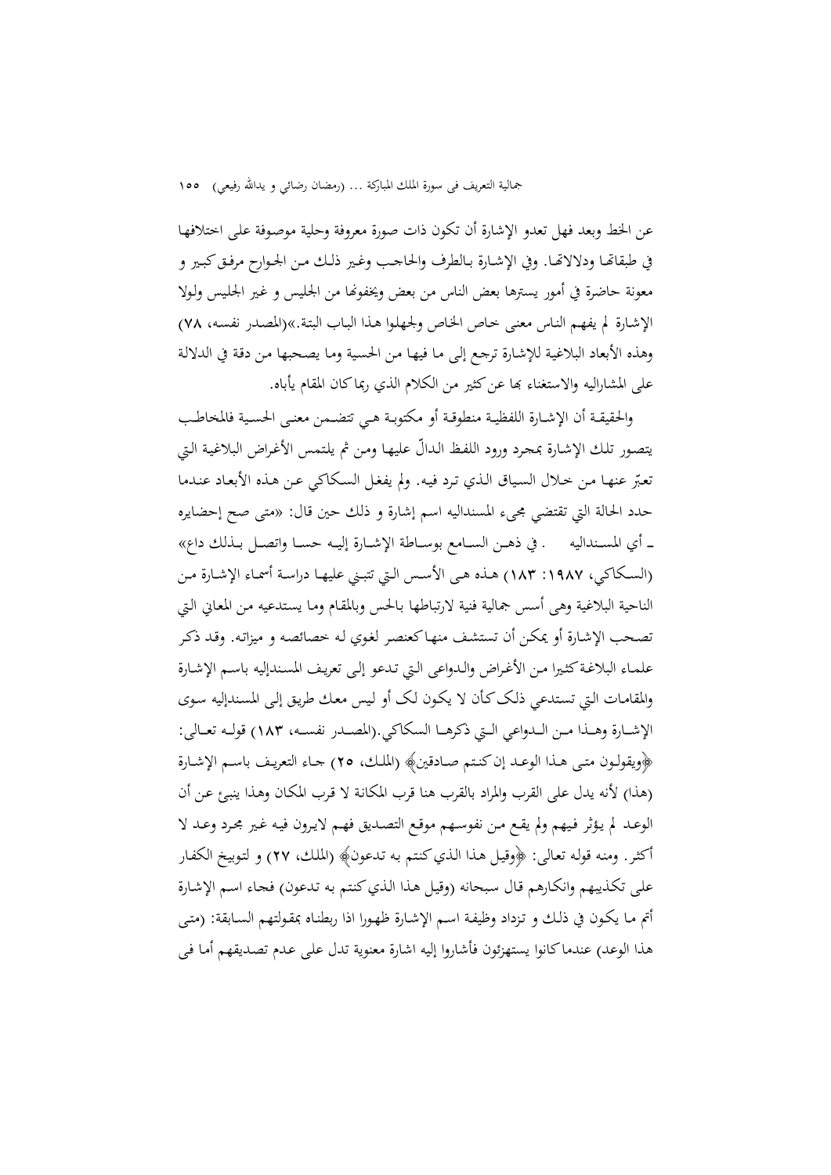عن الخط وبعد فهل تعدو الإشارة أن تکون ذات صورة معروفة وحلية موصـوفة علـی اختلافهـا في طبقاēــا ودلالاēــا. وفي الإشــارة بــالطرف والحاجــب وغــير ذلــك مــن الجــوارح مرفــقکبــير و معونة حاضرة في أمور يسترها بعض الناس من بعض ويخفونها من الجليس و غير الجليس ولولا الإشـارة لم يفهـم النـاس معنـی خـاص الخـاص ولجهلـوا هـذا البـاب البتـة.»(المصـدر نفسـه، 78) وهذه الأبعاد البلاغيـة للإشـارة ترجـع إلـی مـا فيهـا مـن الحسـية ومـا يصـحبها مـن دقـة في الدلالـة علی المشاراليه والاستغناء بما عن کثير من الکلام الذي ربماکان المقام يأباه.

والحقيقــة أن الإشــارة اللفظيــة منطوقــة أو مکتوبــة هــي تتضــمن معنــی الحســية فالمخاطــب يتصـور تلـك الإشـارة بمجـرد ورود اللفـظ ّ الـدال عليهـا ومـن ثم يلـتمس الأغـراض البلاغيـة الـتي تعـبر عنهـا مـن خـلال السـياق الـذي تـرد فيـه. ولم يفغـل السـکاکي عـن هـذه الأبعـاد عنـدما ّ حدد الحالة التي تقتضي مجیء المسنداليه اسم إشارة و ذلك حين قال: «متی صح إحضايره ـــ أي المســنداليه ـ في ذهــن الســامع بوســاطة الإشــارة إليــه حســا واتصــل بــذلك داع» (السـكاكي، ١٩٨٧: ١٨٣) هـذه هـي الأسـس الـتي تتبـني عليهـا دراسـة أسمـاء الإشـارة مـن الناحية البلاغية وهی أسس جمالية فنية لارتباطها بـالحس وبالمقـام ومـا يسـتدعيه مـن المعـاني الـتي تصـحب الإشـارة أو يمکـن أن تستشـف منهـاکعنصـر لغـوي لـه خصائصـه و ميزاتـه. وقـد ذکـر علمـاء البلاغـةکثـيرا مـن الأغـراض والـدواعی الـتي تـدعو إلـی تعريـف المسـندإليه باسـم الإشـارة والمقامـات الـتي تسـتدعي ذلـککـأن لا يکـون لـک أو لـيس معـك طريـق إلـی المسـندإليه سـوی الإشـــارة وهـــذا مـــن الـــدواعي الـــتي ذکرهـــا السکاکي.(المصـــدر نفســـه، 183) قولـــه تعـــالی: ﴿ويقولــون متــی هــذا الوعــد إنکنــتم صــادقين﴾ (الملــك، 25) جــاء التعريــف باســم الإشــارة (هذا) لأنه يدل علی القرب والمراد بالقرب هنا قرب المکانـة لا قـرب المکـان وهـذا ينبـئ عـن أن الوعـد لم يـؤثر فـيهم ولم يقـع مـن نفوسـهم موقـع التصـديق فهـم لايـرون فيـه غـير مجـرد وعـد لا أکثـر. ومنـه قولـه تعـالی: ﴿وقيـل هـذا الـذيکنـتم بـه تـدعون﴾ (الملـك، 27) و لتـوبيخ الکفـار علـی تکـذيبهم وانکـارهم قـال سـبحانه (وقيـل هـذا الـذيکنـتم بـه تـدعون) فجـاء اسـم الإشـارة أتم مـا يکـون في ذلـك و تـزداد وظيفـة اسـم الإشـارة ظهـورا اذا ربطنـاه بمقـولتهم السـابقة: (متـی هذا الوعد) عندماکانوا يستهزئون فأشاروا إليه اشارة معنوية تدل علـی عـدم تصـديقهم أمـا فـی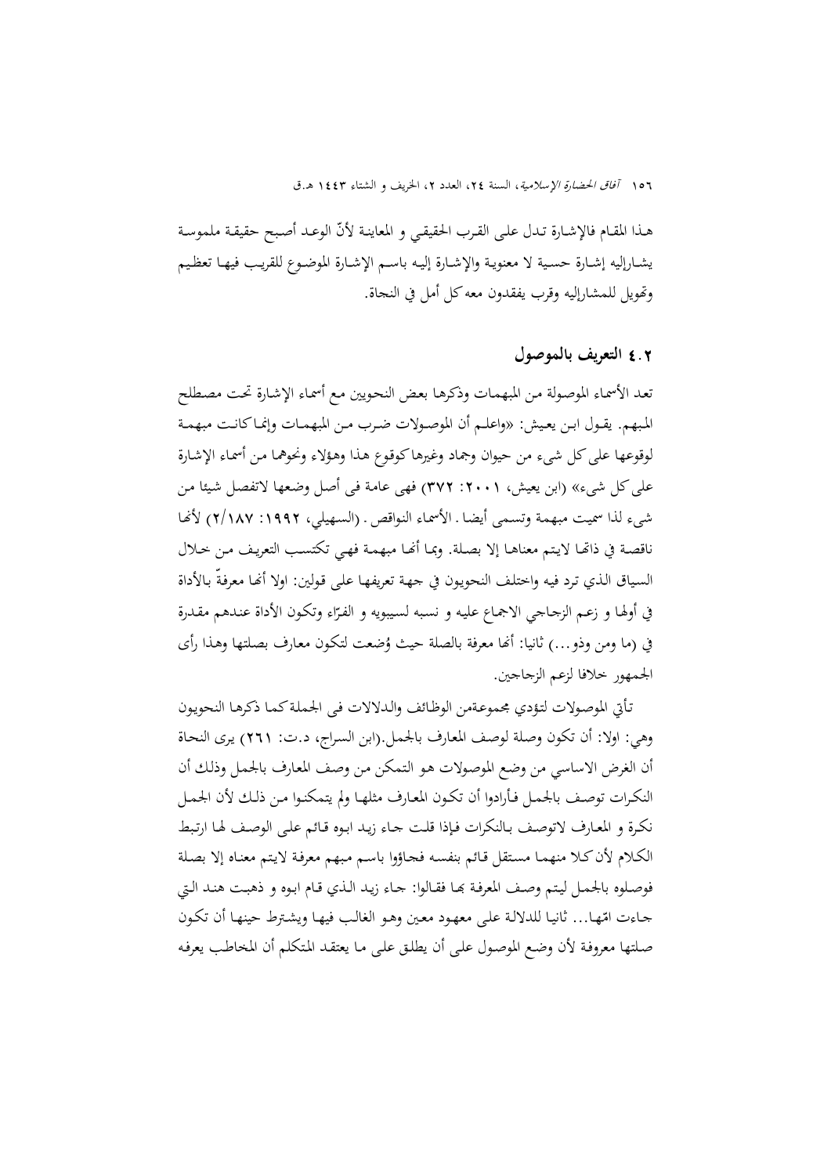هـذا المقـام فالإشـارة تـدل علـي القـرب الحقيقـي و المعاينـة لأنّ الوعـد أصبح حقيقـة ملموسـة يشــارإليه إشــارة حســية لا معنويــة والإشــارة إليــه باســم الإشــارة الموضــوع للقريــب فيهــا تعظــيم وēويل للمشارإليه وقرب يفقدون معهکل أمل في النجاة.

## 4**.**2 **التعريف بالموصول**

تعـد الأسمـاء الموصـولة مـن المبهمـات وذکرهـا بعـض النحـويين مـع أسمـاء الإشـارة تحـت مصـطلح المــبهم. يقــول ابــن يعــيش: «واعلــم أن الموصــولات ضــرب مــن المبهمــات وإنمــاکانــت مبهمــة لوقوعها علیکل شیء من حيوان وجماد وغيرهاکوقـوع هـذا وهـؤلاء ونحوهمـا مـن أسمـاء الإشـارة علیکل شیء» (ابن يعيش، :2001 372) فهی عامـة فـی أصـل وضـعها لاتفصـل شـيئا مـن شیء لذا سميـت مبهمـة وتسـمی أيضـا ـ الأسمـاء النـواقص ـ (السـهيلي، :1992 2/187) لأĔـا ناقصـة في ذاتهـا لايتم معناهـا إلا بصـلة. وبمـا أنهـا مبهمـة فهـي تكتسـب التعريـف مـن خـلال السياق الـذي ترد فيه واختلف النحويون في جهـة تعريفهـا علـي قولين: اولا أنهـا معرفةّ بـالأداة في أولها و زعـم الزجـاجي الاجماع عليه و نسبه لسيبويه و الفرّاء وتكون الأداة عنـدهم مقـدرة في (ما ومن وذو...) ثانيا: أنها معرفة بالصلة حيث وُضعت لتكون معارف بصلتها وهذا رأى الجمهور خلافا لزعم الزجاجين.

تـأتي الموصـولات لتـؤدي مجموعـةمن الوظـائف والـدلالات فـی الجملـةکمـا ذکرهـا النحويـون وهي: اولا: أن تکون وصـلة لوصـف المعـارف بالجمـل.(ابن السـراج، د.ت: 261) يـری النحـاة أن الغرض الاساسي من وضـع الموصـولات هـو الـتمکن مـن وصـف المعـارف بالجمـل وذلـك أن النکـرات توصــف بالجمـل فــأرادوا أن تکــون المعـارف مثلهــا ولم يتمکنــوا مـن ذلــك لأن الجمــل نکـرة و المعـارف لاتوصـف بـالنکرات فـإذا قلـت جـاء زيـد ابـوه قـائم علـی الوصـف لهـا ارتـبط الکـلام لأنکـلا منهمـا مسـتقل قـائم بنفسـه فجـاؤوا باسـم مـبهم معرفـة لايـتم معنـاه إلا بصـلة فوصـلوه بالجمـل ليتم وصف المعرفـة بحـا فقـالوا: جـاء زيـد الـذي قـام ابـوه و ذهبـت هنـد الـتي جـاءت امّهـا… ثانيـا للدلالـة علمي معهـود معـين وهـو الغالـب فيهـا ويشـترط حينهـا أن تكـون صـلتها معروفـة لأن وضـع الموصـول علـی أن يطلـق علـی مـا يعتقـد المـتکلم أن المخاطـب يعرفـه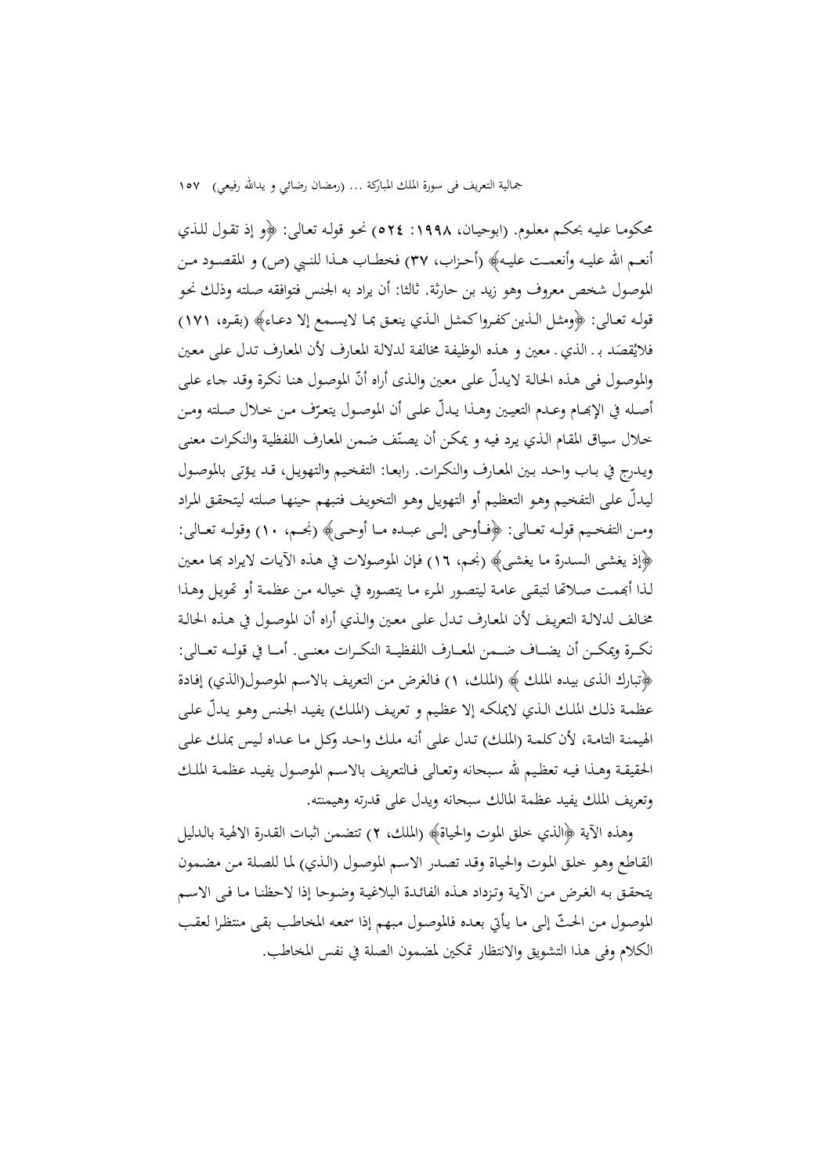محکومـا عليـه بحکـم معلـوم. (ابوحيـان، :1998 524) نحـو قولـه تعـالی: ﴿و إذ تقـول للـذي أنعــم االله عليــه وأنعمــت عليــه﴾ (أحــزاب، 37) فخطــاب هــذا للنــبي (ص) و المقصــود مــن الموصول شخص معروف وهو زيد بن حارثة. ثالثا: أن يراد به الجنس فتوافقه صـلته وذلـك نحـو قولــه تعــالی: ﴿ومثــل الــذينکفــرواکمثــل الــذي ينعــق بمــا لايســمع إلا دعــاء﴾ (بقــره، 171) فلايُقصَد بـ الذي ـ معين و هـذه الوظيفـة مخالفـة لدلالـة المعارف لأن المعارف تـدل علمي معين والموصول في هذه الحالة لايدلّ على معين والذى أراه أنّ الموصول هنا نكرة وقد جاء على أصـله في الإبحـام وعـدم التعيـين وهــذا يـدلّ علــي أن الموصـول يتعـرّف مـن خـلال صـلته ومـن خلال سياق المقام الذي يرد فيه و يمكن أن يصنّف ضمن المعارف اللفظية والنكرات معنى ويـدرج في بـاب واحـد بـين المعـارف والنکـرات. رابعـا: التفخـيم والتهويـل، قـد يـؤتی بالموصـول ّ ليـدل علـی التفخـيم وهـو التعظـيم أو التهويـل وهـو التخويـف فتـبهم حينهـا صـلته ليتحقـق المـراد ومـــن التفخـــيم قولـــه تعـــالی: ﴿فـــأوحی إلـــی عبـــده مـــا أوحـــی﴾ (نجـــم، 10) وقولـــه تعـــالی: ﴿إذ يغشـی السـدرة مـا يغشـی﴾ (نجـم، 16) فـإن الموصـولات في هـذه الآيـات لايـراد đـا معـين لـذا أđمـت صـلاēا لتبقـی عامـة ليتصـور المـرء مـا يتصـوره في خيالـه مـن عظمـة أو ēويـل وهـذا مخـالف لدلالـة التعريـف لأن المعـارف تـدل علـی معـين والـذي أراه أن الموصـول في هـذه الحالـة نکـــرة ويمکـــن أن يضـــاف ضـــمن المعـــارف اللفظيـــة النکـــرات معنـــی. أمـــا في قولـــه تعـــالی: ﴿تبارك الـذی بيـده الملـك ﴾ (الملـك، 1) فـالغرض مـن التعريـف بالاسـم الموصـول(الذي) إفـادة عظمـة ذلـك الملك الـذي لايملكـه إلا عظيم و تعريـف (الملك) يفيـد الجـنس وهـو يـدلّ علـي الهيمنـة التامـة، لأنکلمـة (الملـك) تـدل علـی أنـه ملـك واحـد وکـل مـا عـداه لـيس بملـك علـی الحقيقــة وهــذا فيــه تعظــيم الله ســبحانه وتعــالی فــالتعريف بالاســم الموصــول يفيــد عظمــة الملــك وتعريف الملك يفيد عظمة المالك سبحانه ويدل علی قدرته وهيمنته.

وهذه الآية ﴿الذي خلق الموت والحياة﴾ (الملك، 2) تتضمن اثبـات القـدرة الالهيـة بالـدليل القـاطع وهـو خلـق المـوت والحيـاة وقـد تصـدر الاسـم الموصـول (الـذي) لمـا للصـلة مـن مضـمون يتحقـق بـه الغـرض مـن الآيـة وتـزداد هـذه الفائـدة البلاغيـة وضـوحا إذا لاحظنـا مـا فـی الاسـم الموصول مـن الحـثّ إلى مـا يـأتي بعـده فالموصـول مبـهـم إذا سمعـه المخاطـب بقـي منتظـرا لعقـب الکلام وفی هذا التشويق والانتظار تمکين لمضمون الصلة في نفس المخاطب.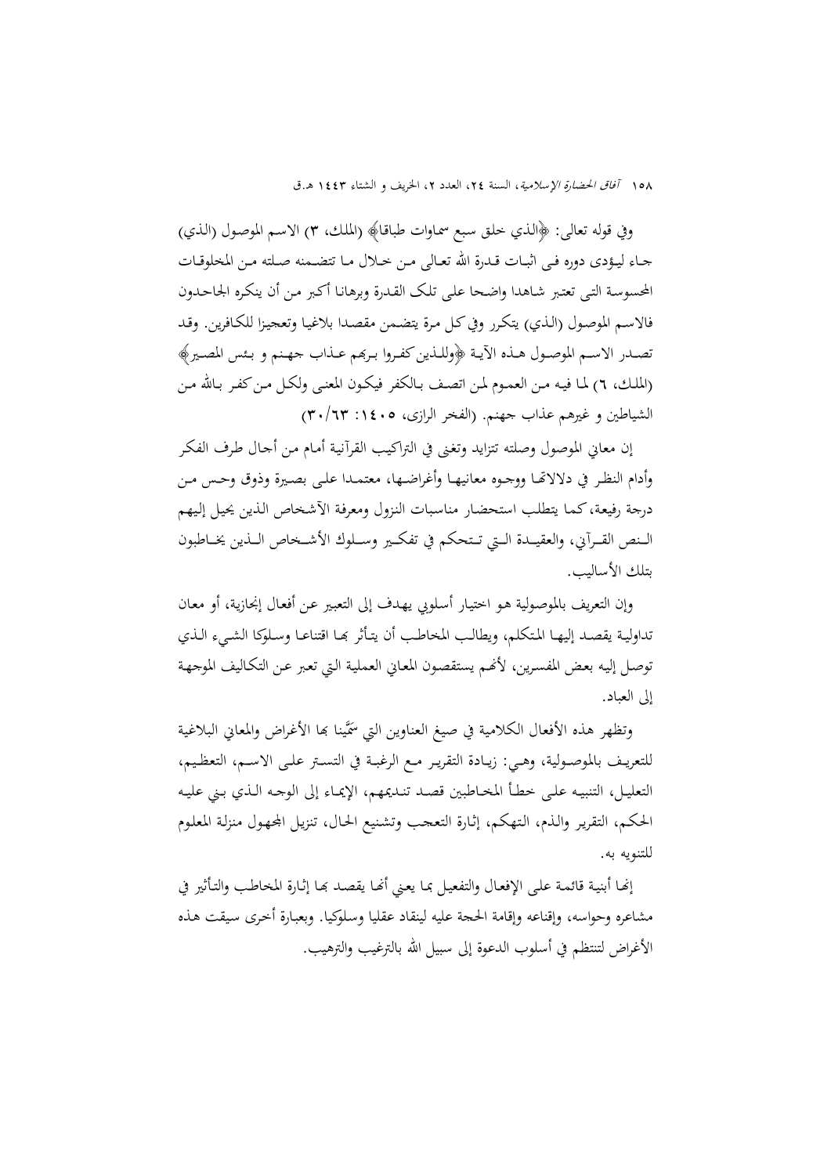وفي قوله تعالی: ﴿الـذي خلـق سـبع سمـاوات طباقـا﴾ (الملـك، 3) الاسـم الموصـول (الـذي) جــاء ليــؤدی دوره فــی اثبــات قــدرة االله تعــالی مــن خــلال مــا تتضــمنه صــلته مــن المخلوقــات المحسوسـة التـی تعتـبر شـاهدا واضـحا علـی تلـک القـدرة وبرهانـا أکـبر مـن أن ينکـره الجاحـدون فالاسـم الموصـول (الـذي) يتکـرر وفيکـل مـرة يتضـمن مقصـدا بلاغيـا وتعجيـزا للکـافرين. وقـد تصـدر الاسـم الموصـول هـذه الآيــة ﴿وللـذين كفـروا بـرهم عـذاب جهـنم و بـئس المصـير﴾ (الملـك، ٦) لمـا فيـه مـن العمـوم لمـن اتصـف بـالكفر فيكـون المعنـى ولكـل مـن كفـر بـالله مـن الشياطين و غيرهم عذاب جهنم. (الفخر الرازي، ٠١٤٠٥: ٣٠/٦٣)

إن معاني الموصول وصلته تتزايد وتغـنى في التراكيـب القرآنيـة أمـام مـن أجـال طـرف الفكـر وأدام النظــر في دلالاēــا ووجــوه معانيهــا وأغراضــها، معتمــدا علــى بصــيرة وذوق وحــس مــن درجة رفيعـة،كمـا يتطلـب استحضـار مناسـبات النـزول ومعرفـة الآشـخاص الـذين يحيـل إلـيهم الـــنص القـــرآني، والعقيـــدة الـــتي تـــتحكم في تفكـــير وســـلوك الأشـــخاص الـــذين يخـــاطبون بتلك الأساليب.

وإن التعريف بالموصـولية هـو اختيـار أسـلوبي يهـدف إلى التعبـير عـن أفعـال إنجازيـة، أو معـان تداوليـة يقصـد إليهـا المتكلم، ويطالـب المخاطب أن يتـأثر بحـا اقتناعـا وسـلوكا الشــيء الـذي توصـل إليـه بعض المفسـرين، لأنَّصم يستقصـون المعـاني العمليـة الـتي تعبر عـن التكـاليف الموجهـة إلى العباد.

وتظهر هذه الأفعال الكلامية في صيغ العناوين التي سمَّينا بِحا الأغراض والمعاني البلاغية للتعريــف بالموصــولية، وهــي: زيــادة التقريــر مــع الرغبــة في التســتر علــى الاســم، التعظــيم، التعليــل، التنبيــه علــى خطــأ المخــاطبين قصــد تنــديمهم، الإيمــاء إلى الوجــه الــذي بــني عليــه الحكـم، التقريـر والـذم، الـتهكم، إثـارة التعجـب وتشـنيع الحـال، تنزيـل اجملهـول منزلـة المعلـوم للتنويه به.

إنهـا أبنيـة قائمـة علـى الإفعـال والتفعيـل بمـا يعـني أنهـا يقصـد بمـا إثـارة المخاطـب والتـأثير في مشاعره وحواسه، وإقناعه وإقامة الحجة عليه لينقاد عقليا وسـلوكيا. وبعبـارة أخـرى سـيقت هـذه الأغراض لتنتظم في أسلوب الدعوة إلى سبيل االله بالترغيب والترهيب.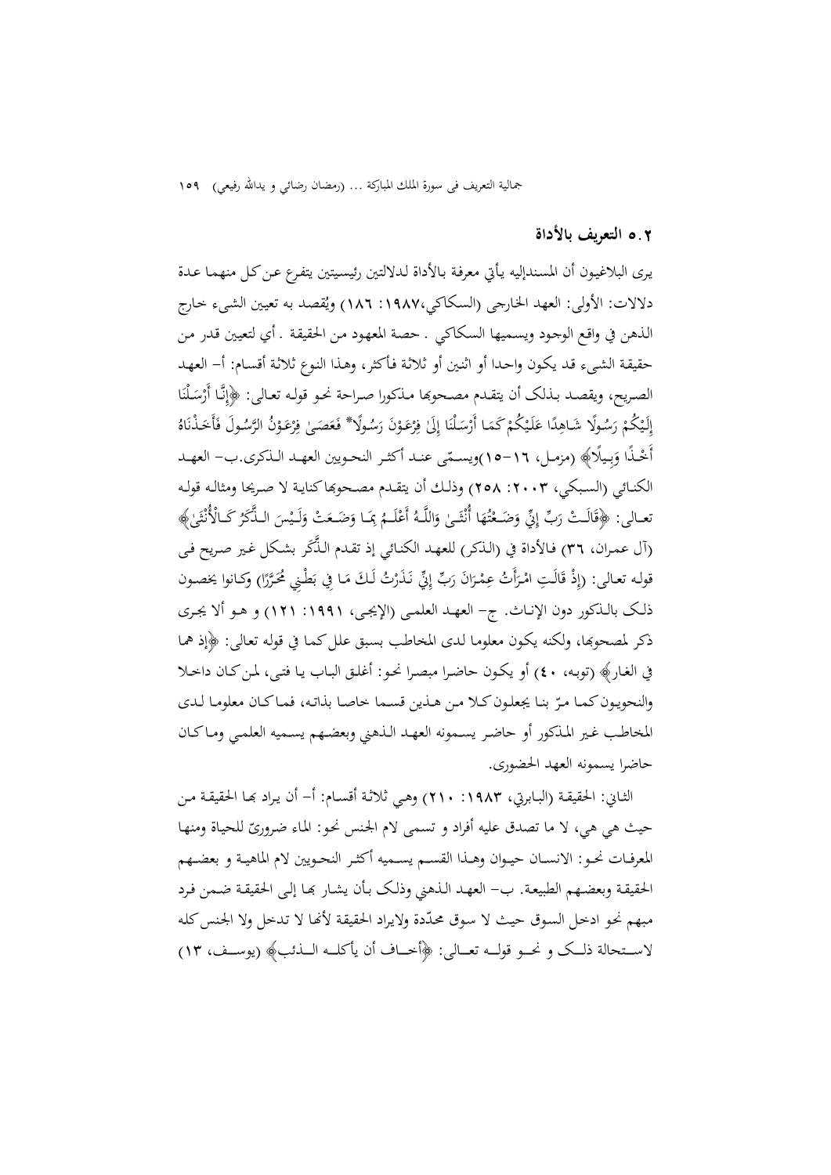### 5**.**2 **التعريف بالأداة**

يـری البلاغيـون أن المسـندإليه يـأتي معرفـة بـالأداة لـدلالتين رئيسـيتين يتفـرع عـنکـل منهمـا عـدة دلالات: الأولى: العهد الخارجى (السكاكي،١٩٨٧: ١٨٦) ويُقصد به تعيين الشيء خارج الـذهن في واقـع الوجـود ويسـميها السـکاکي ـ حصـة المعهـود مـن الحقيقـة ـ أي لتعيـين قـدر مـن حقيقـة الشـیء قـد يکـون واحـدا أو اثنـين أو ثلاثـة فـأکثر، وهـذا النـوع ثلاثـة أقسـام: أ- العهـد الصـريح، ويقصـد بـذلک أن يتقـدم مصـحوها مـذکورا صـراحة نحـو قولـه تعـالى: ﴿إِنَّـا أَرْسَلْنَا .<br>. ا<br>ٍٰٰ َ ْ ـذ َأَخ ُ َ ـول ف َّس ْ ُن الر َـو ع ِر ٰ ف َـى َص َع ُ ً ـولا\* فـ َس ْ َن ر َـو ع ِر ٰ ف َلى ا إ ـلن ْ َ ْس ـا أَر ْ َكم ْ ُكم َـي ل ًا ع ِد ُ ً ـولا َشـاه َس ْ ر ْ ُكم لَـي ُ إ َاه <u>ٔ</u> .<br>.<br>. ٍٍٍٍٍٍٍٍٍٍٍٍٍٍٍٍٍٍٍٍٍٍٍٍٍ .<br>.  $\overline{\phantom{a}}$ َ ِ ن أُخْذًا وَبِيلًا﴾ (مزمـل، ١٦-١٥)ويسـمّى عنـد أكثـر النحـويين العهـد الـذكري.ب– العهـد َ الکنــائي (السـبکي، ٢٠٠٣: ٢٥٨) وذلـك أن يتقــدم مصـحوهاکنايـة لا صـريحا ومثالـه قولـه نعــالی: ﴿قَالَـتْ رَبِّ إِنِّي وَضَـعْتُهَا أُنْثَـىٰ وَاللَّـهُ أَعْلَــمُ بِمَـا وَضَـعَتْ وَلَـيْسَ الـذَّكَرُ كَـالْأُنْثَىٰ﴾<br>. َ  $\frac{1}{2}$ **ٔ**  $\epsilon$ ت ْ ) فـالأداة في (الـذکر) للعهـد الکنـائي إذ تقـدم َّ الـذَک (آل عمـران، 36 ر بشـکل غـير صـريح فـی قوله تعـالى: (إِذْ قَالَتِ امْرَأَتُ عِمْرَانَ رَبِّ إِنِّي نَذَرْتُ لَكَ مَـا فِي بَطْنِي مُحَرَّرًا) وكـانوا يخصون َ ِ ذلــک بالــذکور دون الإنــاث. ج- العهــد العلمــی (الإيجــی، :1991 121) و هــو ألا يجــری ذکر لمصحوđا، ولکنه يکـون معلومـا لـدی المخاطـب بسـبق علـلکمـا في قولـه تعـالی: ﴿إذ همـا في الغـار﴾ (توبـه، 40) أو يکـون حاضـرا مبصـرا نحـو: أغلـق البـاب يـا فتـی، لمـنکـان داخـلا والنحويون كمـا مـرّ بنـا يجعلـون كـلا مـن هـذين قسـما خاصـا بذاتـه، فمـاكـان معلومـا لـدي المخاطــب غــير المــذکور أو حاضــر يســمونه العهــد الــذهني وبعضــهم يســميه العلمــي ومــاکــان حاضرا يسمونه العهد الحضوری.

الثـاني: الحقيقـة (البـابرتي، ١٩٨٣: ٢١٠) وهـي ثلاثـة أقسـام: أ– أن يـراد بهـا الحقيقـة مـن حيث هي هي، لا ما تصدق عليه أفراد و تسمى لام الجنس نحو: الماء ضروریّ للحياة ومنها المعرفــات نحــو: الانســان حيــوان وهــذا القســم يســميه أکثــر النحــويين لام الماهيــة و بعضــهم الحقيقـة وبعضـهم الطبيعـة. ب- العهـد الـذهني وذلـک بـأن يشـار đـا إلـی الحقيقـة ضـمن فـرد مبهم نحو ادخل السوق حيث لا سوق محدّدة ولايراد الحقيقة لأنّها لا تدخل ولا الجنس كله لاســــتحالة ذلــــک و نحــــو قولــــه تعــــالی: ﴿أخــــاف أن يأکلــــه الــــذئب﴾ (يوســــف، 13)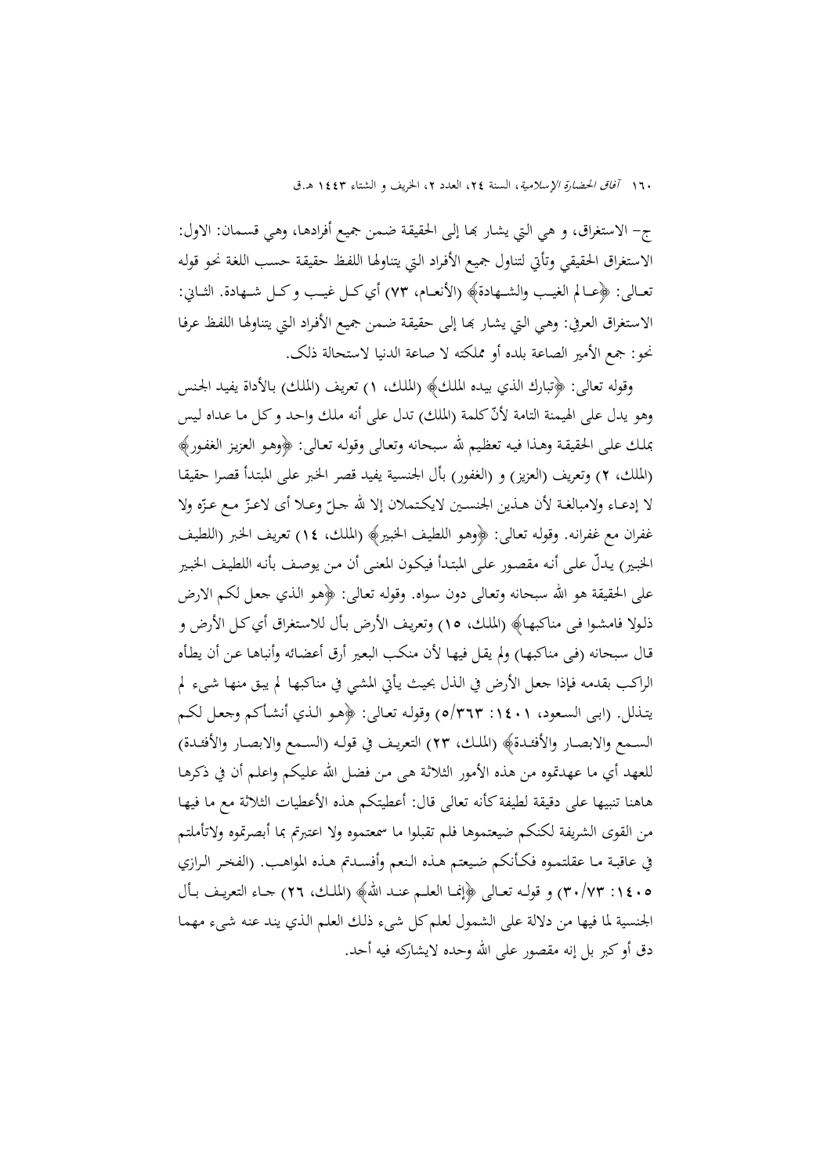ج- الاستغراق، و هي التي يشار بَما إلى الحقيقة ضمن جميع أفرادهـا، وهي قسـمان: الاول: الاستغراق الحقيقي وتأتي لتناول جميـع الأفـراد الـتي يتناولهـا اللفـظ حقيقـة حسـب اللغـة نحـو قولـه تعـــالی: ﴿عـــالم الغيـــب والشـــهادة﴾ (الأنعـــام، 73) أيکـــل غيـــب وکـــل شـــهادة. الثـــاني: الاستغراق العرفي: وهـي الـتي يشـار بما إلـي حقيقـة ضـمن جميع الأفـراد الـتي يتناولهـا اللفـظ عرفـا نحو: جمع الأمير الصاعة بلده أو مملکته لا صاعة الدنيا لاستحالة ذلک.

وقوله تعالی: ﴿تبارك الذي بيـده الملـك﴾ (الملـك، 1) تعريـف (الملـك) بـالأداة يفيـد الجـنس وهو يدل على الهيمنة التامة لأنّ كلمة (الملك) تدل على أنه ملك واحد و كل ما عداه ليس بملـك علـی الحقيقـة وهـذا فيـه تعظـيم الله سـبحانه وتعـالی وقولـه تعـالی: ﴿وهـو العزيـز الغفـور﴾ (الملك، 2) وتعريف (العزيز) و (الغفور) بأل الجنسية يفيد قصر الخـبر علـی المبتـدأ قصـرا حقيقـا لا إدعـاء ولامبالغـة لأن هـذين الجنسـين لايکـتملان إلا لله حـلّ وعـلا أي لاعـزّ مـع عـزّه ولا غفران مع غفرانـه. وقولـه تعـالی: ﴿وهـو اللطيـف الخبـير﴾ (الملـك، 14) تعريـف الخـبر (اللطيـف الخبـير) ّ يـدل علـی أنـه مقصـور علـی المبتـدأ فيکـون المعنـی أن مـن يوصـف بأنـه اللطيـف الخبـير علی الحقيقة هو االله سبحانه وتعـالی دون سـواه. وقولـه تعـالی: ﴿هـو الـذي جعـل لکـم الارض ذلـولا فامشـوا فـی مناکبهـا﴾ (الملـك، 15) وتعريـف الأرض بـأل للاسـتغراق أيکـل الأرض و قـال سـبحانه (فـی مناکبهـا) ولم يقـل فيهـا لأن منکـب البعـير أرق أعضـائه وأنباهـا عـن أن يطـأه الراکـب بقدمـه فـإذا جعـل الأرض في الـذل بحيـث يـأتي المشـي في مناکبهـا لم يبـق منهـا شـیء لم يتـذلل. (ابـی السـعود، :1401 5/363) وقولـه تعـالی: ﴿هـو الـذي أنشـأکم وجعـل لکـم الســمع والابصــار والأفئــدة﴾ (الملــك، 23) التعريــف في قولــه (الســمع والابصــار والأفئــدة) للعهد أي ما عهدتموه من هذه الأمور الثلاثـة هـی مـن فضـل االله علـيکم واعلـم أن في ذکرهـا هاهنا تنبيها علی دقيقة لطيفةکأنه تعالی قال: أعطيتکم هذه الأعطيات الثلاثة مع ما فيهـا من القوی الشريفة لکنکم ضيعتموها فلم تقبلوا ما سمعتموه ولا اعتبرتم بما أبصرتموه ولاتأملتم في عاقبـة مـا عقلتمـوه فکـأنکم ضـيعتم هـذه الـنعم وأفسـدتم هـذه المواهـب. (الفخـر الـرازي :1405 30/73) و قولــه تعــالی ﴿إنمــا العلــم عنــد االله﴾ (الملــك، 26) جــاء التعريــف بــأل الجنسية لما فيها من دلالة علی الشمول لعلمکل شیء ذلـك العلـم الـذي ينـد عنـه شـیء مهمـا دق أوکبر بل إنه مقصور علی االله وحده لايشارکه فيه أحد.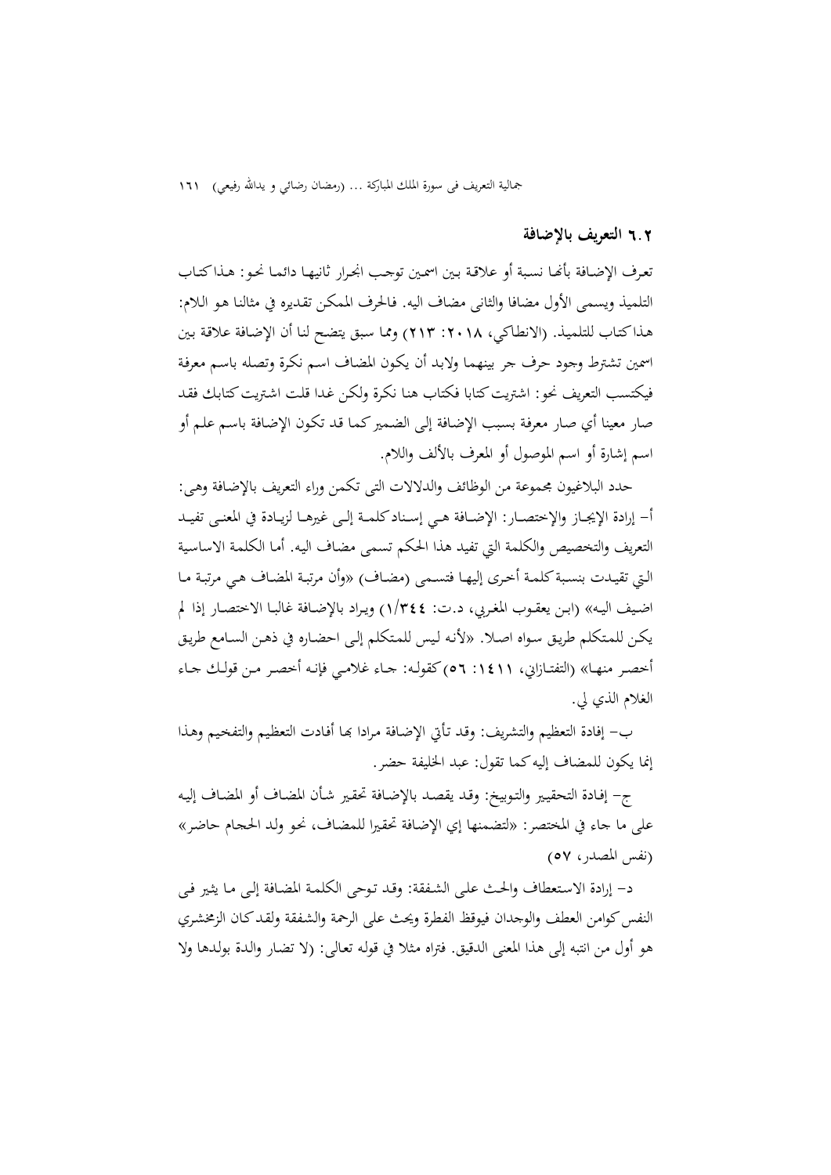### 6**.**2 **التعريف بالإضافة**

تعرف الإضـافة بأنهـا نسـبة أو علاقـة بـين اسمـين توجـب انجـرار ثانيهـا دائمـا نحـو: هـذاكتـاب التلميذ ويسمی الأول مضافا والثانی مضاف اليه. فـالحرف الممکـن تقـديره في مثالنـا هـو الـلام: هـذاکتـاب للتلميـذ. (الانطـاکي، :2018 213) وممـا سـبق يتضـح لنـا أن الإضـافة علاقـة بـين اسمين تشترط وجود حرف جر بينهمـا ولابـد أن يکـون المضـاف اسـم نکـرة وتصـله باسـم معرفـة فيکتسب التعريف نحو: اشتريت کتابا فکتاب هنـا نکرة ولکـن غـدا قلت اشـتريت کتابـك فقـد صار معينا أي صـار معرفـة بسـبب الإضـافة إلـی الضـميرکمـا قـد تکـون الإضـافة باسـم علـم أو اسم إشارة أو اسم الموصول أو المعرف بالألف واللام.

حدد البلاغيون مجموعة من الوظائف والدلالات التی تکمن وراء التعريف بالإضـافة وهـی: أ- إرادة الإيجــاز والإختصــار: الإضــافة هــي إســنادکلمــة إلــی غيرهــا لزيــادة في المعنــی تفيــد التعريف والتخصيص والکلمة التي تفيد هذا الحکم تسمی مضـاف اليـه. أمـا الکلمـة الاساسـية الـتي تقيـدت بنسـبةکلمـة أخـری إليهـا فتسـمی (مضـاف) «وأن مرتبـة المضـاف هـي مرتبـة مـا اضــيف اليــه» (ابــن يعقــوب المغــربي، د.ت: 1/344) ويــراد بالإضــافة غالبــا الاختصــار إذا لم يکـن للمـتکلم طريـق سـواه اصـلا. «لأنـه لـيس للمـتکلم إلـی احضـاره في ذهـن السـامع طريـق أخصــر منهــا» (التفتــازاني، :1411 56) کقولــه: جــاء غلامــي فإنــه أخصــر مــن قولــك جــاء الغلام الذي لي.

ب– إفادة التعظيم والتشريف: وقد تـأتي الإضـافة مرادا بحا أفـادت التعظيم والتفخيم وهـذا إنما يکون للمضاف إليهکما تقول: عبد الخليفة حضر.

ج- إفـادة التحقيـير والتـوبيخ: وقـد يقصـد بالإضـافة تحقـير شـأن المضـاف أو المضـاف إليـه علی ما جاء في المختصر: «لتضمنها إي الإضـافة تحقـيرا للمضـاف، نحـو ولـد الحجـام حاضـر» (نفس المصدر، 57)

د- إرادة الاسـتعطاف والحـث علـی الشـفقة: وقـد تـوحی الکلمـة المضـافة إلـی مـا يثـير فـی النفس كوامن العطف والوجدان فيوقظ الفطرة ويحث على الرحمة والشفقة ولقد كـان الزمخشري هو أول من انتبه إلی هذا المعنی الدقيق. فتراه مـثلا في قولـه تعـالی: (لا تضـار والـدة بولـدها ولا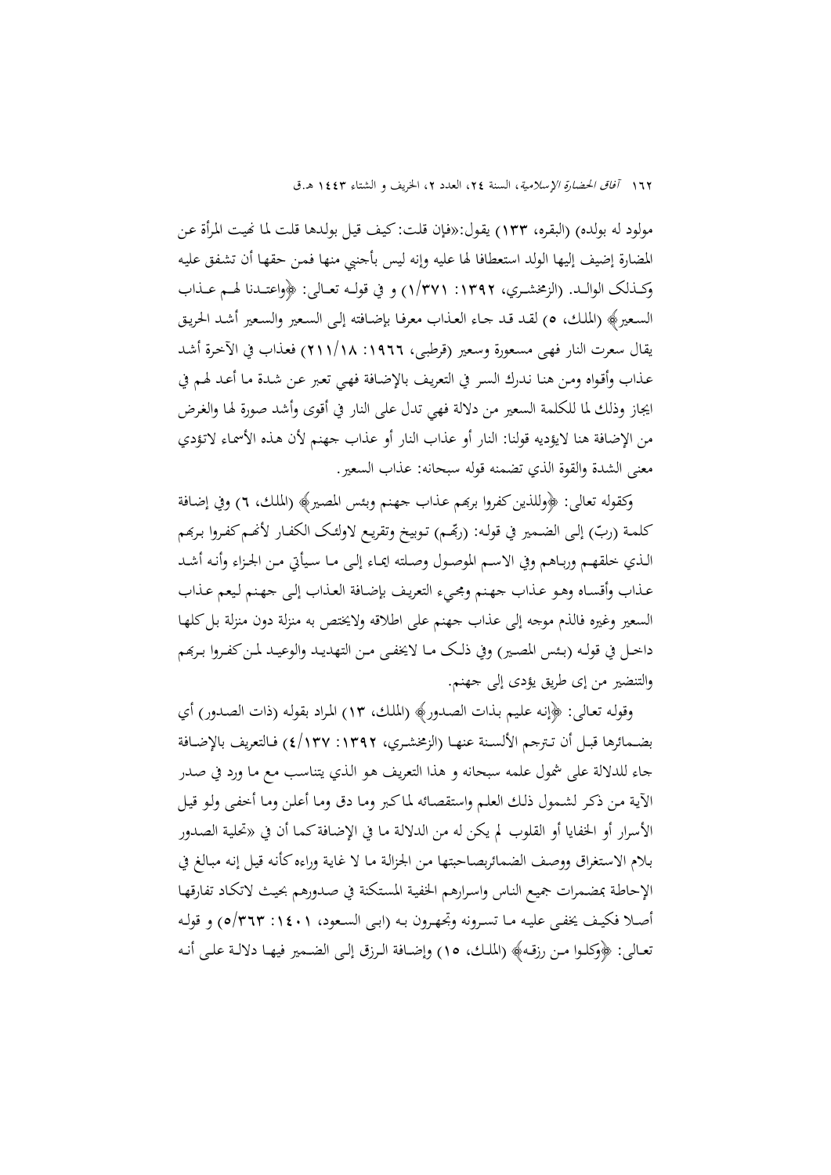مولود له بولده) (البقـره، 133) يقـول:«فـإن قلـت: کيـف قيـل بولـدها قلـت لمـا Ĕيـت المـرأة عـن المضارة إضيف إليها الولد استعطافا لها عليه وإنه ليس بأجنبي منها فمـن حقهـا أن تشـفق عليـه وکـــذلک الوالـــد. (الزمخشـــري، :1392 1/371) و في قولـــه تعـــالی: ﴿واعتـــدنا لهـــم عـــذاب السـعير﴾ (الملـك، 5) لقـد قـد جـاء العـذاب معرفـا بإضـافته إلـی السـعير والسـعير أشـد الحريـق يقال سعرت النار فهـی مسـعورة وسـعير (قرطبـی، :1966 211/18) فعـذاب في الآخـرة أشـد عـذاب وأقـواه ومـن هنـا نـدرك السـر في التعريـف بالإضـافة فهـي تعـبر عـن شـدة مـا أعـد لهـم في ايجاز وذلك لما للکلمة السعير من دلالة فهي تدل علی النار في أقوی وأشد صورة لهـا والغـرض من الإضافة هنا لايؤديه قولنا: النار أو عذاب النار أو عذاب جهنم لأن هـذه الأسمـاء لاتـؤدي معنی الشدة والقوة الذي تضمنه قوله سبحانه: عذاب السعير.

وکقوله تعالی: ﴿وللذينکفروا برđم عـذاب جهـنم وبـئس المصـير﴾ (الملـك، 6) وفي إضـافة كلمـة (ربّ) إلـى الضـمير في قولـه: (ربِّفـم) تـوبيخ وتقريـع لاولئك الكفـار لأنهـم كفـروا بـربَهـم الــذي خلقهــم وربــاهم وفي الاســم الموصــول وصــلته ايمــاء إلــی مــا ســيأتي مــن الجــزاء وأنــه أشــد عـذاب وأقسـاه وهـو عـذاب جهـنم ومجـيء التعريـف بإضـافة العـذاب إلـی جهـنم لـيعم عـذاب السعير وغيره فالذم موجه إلى عذاب جهنم على اطلاقه ولايختص به منزلة دون منزلة بل كلها داخـل في قولـه (بـئس المصـير) وفي ذلـك مـا لايخفــي مـن التهديـد والوعيـد لمـن كفـروا بـربِمـم والتنضير من إی طريق يؤدی إلی جهنم.

وقولـه تعـالی: ﴿إنـه علـيم بـذات الصـدور﴾ (الملـك، 13) المـراد بقولـه (ذات الصـدور) أي بضــمائرها قبــل أن تــترجم الألســنة عنهــا (الزمخشــري، :1392 4/137) فــالتعريف بالإضــافة جاء للدلالة علی شمول علمه سبحانه و هذا التعريـف هـو الـذي يتناسـب مـع مـا ورد في صـدر الآيـة مـن ذکـر لشـمول ذلـك العلـم واستقصـائه لمـاکـبر ومـا دق ومـا أعلـن ومـا أخفـی ولـو قيـل الأسرار أو الخفايا أو القلوب لم يکن له من الدلالـة مـا في الإضـافةکمـا أن في «تحليـة الصـدور بـلام الاسـتغراق ووصـف الضمائربصـاحبتها مـن الجزالـة مـا لا غايـة وراءهکأنـه قيـل إنـه مبـالغ في الإحاطـة بمضـمرات جميـع النـاس واسـرارهم الخفيـة المسـتکنة في صـدورهم بحيـث لاتکـاد تفارقهـا أصـلا فكيـف يخفـي عليـه مـا تسـرونه وتجهـرون بـه (ابـي السـعود، ٠١٤٠١ ٥/٣٦٣) و قولـه تعــالی: ﴿وکلــوا مــن رزقــه﴾ (الملــك، 15) وإضــافة الــرزق إلــی الضــمير فيهــا دلالــة علــی أنــه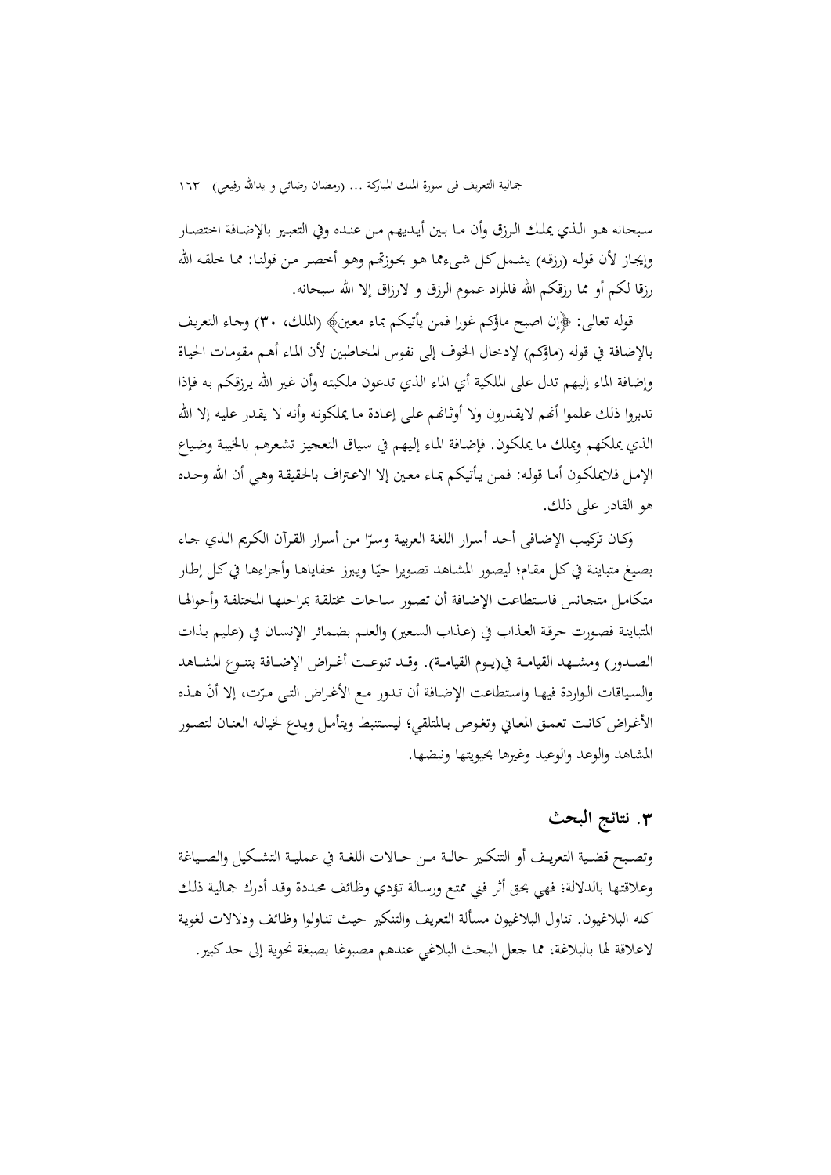سـبحانه هـو الـذي يملـك الـرزق وأن مـا بـين أيـديهم مـن عنـده وفي التعبـير بالإضـافة اختصـار وإيجـاز لأن قولـه (رزقـه) يشـمل كـل شيءمما هـو بحـوزتهم وهـو أخصـر مـن قولنـا: ممـا خلقـه الله رزقا لکم أو مما رزقکم االله فالمراد عموم الرزق و لارزاق إلا االله سبحانه.

قوله تعالی: ﴿إن اصبح ماؤکم غورا فمن يأتيکم بماء معـين﴾ (الملـك، 30) وجـاء التعريـف بالإضافة في قوله (ماؤکم) لإدخال الخوف إلی نفوس المخـاطبين لأن المـاء أهـم مقومـات الحيـاة وإضافة الماء إليهم تدل علی الملکية أي الماء الذي تدعون ملکيتـه وأن غـير االله يـرزقکم بـه فـإذا تدبروا ذلك علموا أنهم لايقدرون ولا أوثـانهم على إعـادة مـا يملكونه وأنه لا يقدر عليه إلا الله الذي يملکهم ويملك ما يملکـون. فإضـافة المـاء إلـيهم في سـياق التعجيـز تشـعرهم بالخيبـة وضـياع الإمـل فلايملکـون أمـا قولـه: فمـن يـأتيکم بمـاء معـين إلا الاعـتراف بالحقيقـة وهـي أن االله وحـده هو القادر علی ذلك.

وكـان تركيب الإضـافى أحـد أسـرار اللغة العربيـة وسـرّا مـن أسـرار القـرآن الكـريم الـذي جـاء بصيغ متباينة في كل مقام؛ ليصور المشاهد تصويرا حيّا ويبرز خفاياها وأجزاءها في كل إطار متکامـل متجـانس فاسـتطاعت الإضـافة أن تصـور سـاحات مختلقـة بمراحلهـا المختلفـة وأحوالهـا المتباينـة فصـورت حرقـة العـذاب في (عـذاب السـعير) والعلـم بضـمائر الإنسـان في (علـيم بـذات الصــدور) ومشــهد القيامــة في(يــوم القيامــة). وقــد تنوعــت أغــراض الإضــافة بتنــوع المشــاهد والسياقات الـواردة فيهـا واستطاعت الإضـافة أن تـدور مـع الأغـراض التـی مـرّت، إلا أنّ هـذه الأغـراض كانـت تعمـق المعـاني وتغـوص بـالمتلقي؛ ليسـتنبط ويتأمـل ويـدع لخيالـه العنـان لتصـور المشاهد والوعد والوعيد وغيرها بحيويتها ونبضها.

# **.**3 **نتائج البحث**

وتصــبح قضــية التعريــف أو التنكــير حالــة مــن حــالات اللغــة في عمليــة التشــكيل والصـــياغة وعلاقتـها بالدلالة؛ فهي بحق أثر فني ممتـع ورسـالة تـؤدي وظـائف محـددة وقـد أدرك جماليـة ذلـك كله البلاغيون. تناول البلاغيون مسألة التعريف والتنكير حيـث تنـاولوا وظـائف ودلالات لغويـة لاعلاقة لها بالبلاغة، مما جعل البحث البلاغي عندهم مصبوغا بصبغة نحوية إلى حدكبير.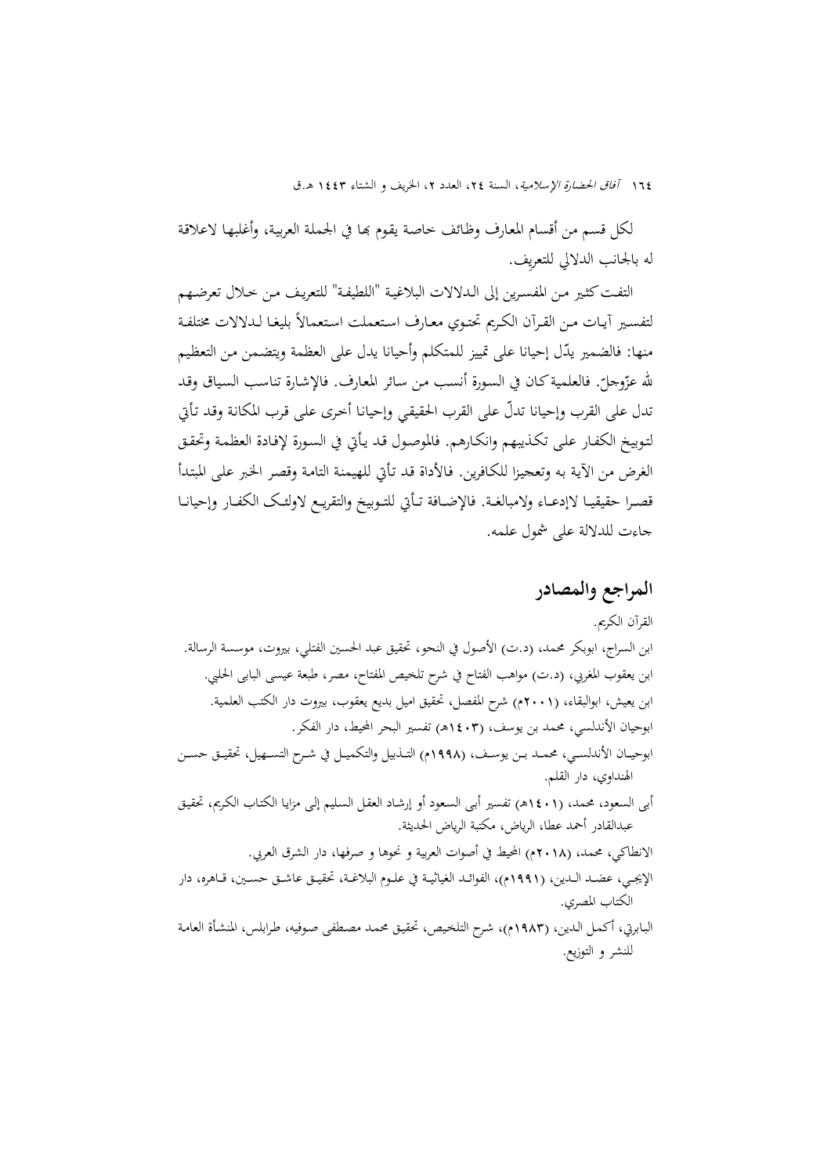لكل قسم من أقسام المعارف وظائف خاصة يقوم بِما في الجملة العربية، وأغلبها لاعلاقة له بالجانب الدلالي للتعري ِف.

التفت كثـير مـن المفسـرين إلى الـدلالات البلاغيـة "اللطيفـة" للتعريف مـن خـلال تعرضـهم لتفسـير أيـات مـن القـرآن الكـريم تحتـوي معـارف اسـتعملت اسـتعمالاً بليغـا لـدلالات مختلفـة منها: فالضمير يدّل إحيانا على تمييز للمتكلم وأحيانا يدل على العظمة ويتضمن من التعظيم لله عزّوجلّ. فالعلمية كـان في السـورة أنسـب من سـائر المعارف. فالإشـارة تناسـب السـياق وقـد<br>. تدل علی القرب وإحيانا تدلّ علی القرب الحقيقي وإحيانـا أخری علمی قرب المكانـة وقـد تـأتي لتـوبيخ الکفـار علـی تکـذيبهم وانکـارهم. فالموصـول قـد يـأتي في السـورة لإفـادة العظمـة وتحقـق الغرض من الآيـة بـه وتعجيـزا للکـافرين. فـالأداة قـد تـأتي للهيمنـة التامـة وقصـر الخـبر علـی المبتـدأ قصـرا حقيقيـا لاإدعـاء ولامبالغـة. فالإضـافة تـأتي للتـوبيخ والتقريـع لاولئـك الكفـار وإحيانـا جاءت للدلالة علی شمول علمه.

# **المراجع والمصادر**

القرآن الکريم. ابن السراج، ابوبکر محمد، (د.ت) الأصول في النحو، تحقيق عبد الحسين الفتلي، بيروت، موسسة الرسالة. ابن يعقوب المغربي، (د.ت) مواهب الفتاح في شرح تلخيص المفتاح، مصر، طبعة عيسی البابی الحلبي. ابن يعيش، ابوالبقاء، (2001م) شرح المفصل، تحقيق اميل بديع يعقوب، بيروت دار الکتب العلمية. ابوحيان الأندلسي، محمد بن يوسف، (1403هـ) تفسير البحر المحيط، دار الفکر. ابوحيــان الأندلســي، محمــد بــن يوســف، (1998م) التــذبيل والتکميــل في شــرح التســهيل، تحقيــق حســن الهنداوي، دار القلم. أبی السعود، محمد، (1401هـ) تفسير أبـی السـعود أو إرشـاد العقـل السـليم إلـی مزايـا الکتـاب الکـريم، تحقيـق عبدالقادر أحمد عطا، الرياض، مکتبة الرياض الحديثة. الانطاکي، محمد، (2018م) المحيط في أصوات العربية و نحوها و صرفها، دار الشرق العربي. الإيجــي، عضــد الــدين، (1991م)، الفوائــد الغياثيــة في علــوم البلاغــة، تحقيــق عاشــق حســين، قــاهره، دار الکتاب المصري. البـابرتي، أکمـل الـدين، (1983م)، شـرح التلخـيص، تحقيـق محمـد مصـطفی صـوفيه، طـرابلس، المنشـأة العامـة للنشر و التوزيع.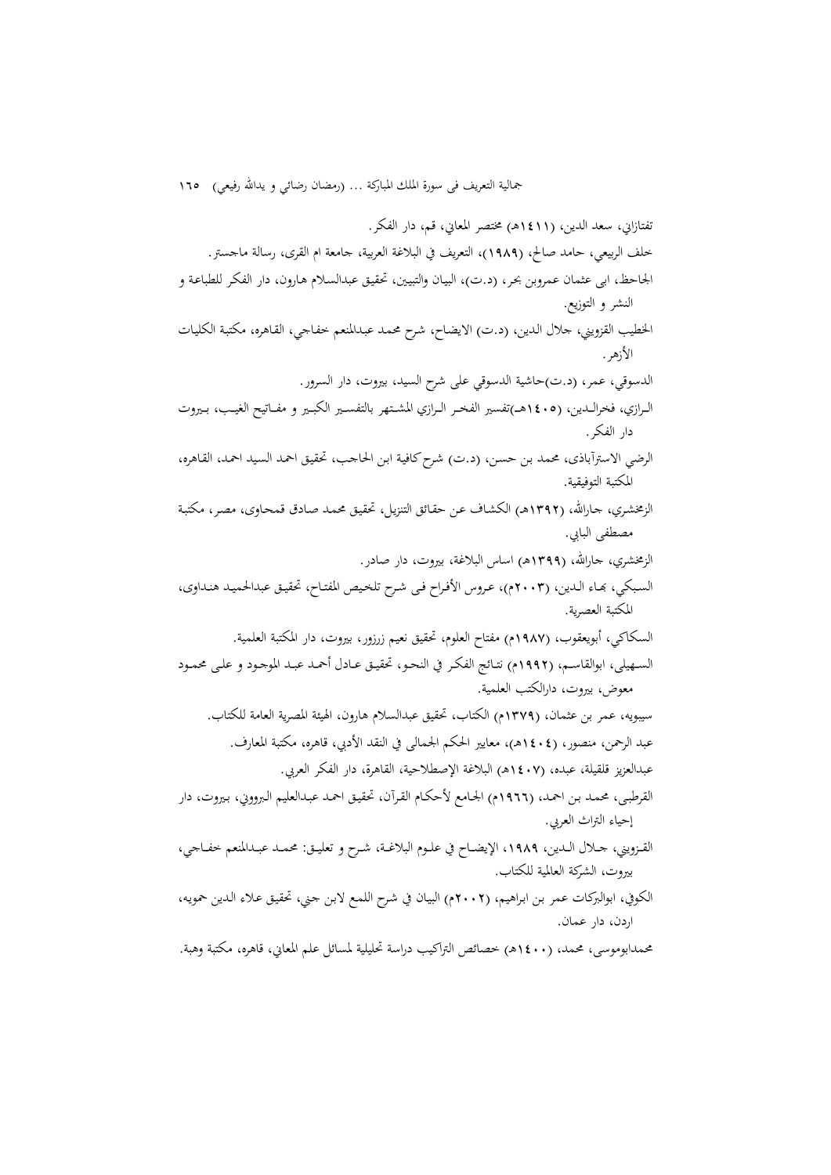تفتازاني، سعد الدين، (1411هـ) مختصر المعاني، قم، دار الفکر. خلف الربيعي، حامد صالح، (1989)، التعريف في البلاغة العربية، جامعة ام القری، رسالة ماجستر. الجاحظ، ابی عثمان عمروبن بحـر، (د.ت)، البيـان والتبيـين، تحقيـق عبدالسـلام هـارون، دار الفکـر للطباعـة و النشر و التوزيع. الخطيب القزويني، جلال الـدين، (د.ت) الايضـاح، شـرح محمـد عبـدالمنعم خفـاجي، القـاهره، مکتبـة الکليـات الأزهر. الدسوقي، عمر، (د.ت)حاشية الدسوقي علی شرح السيد، بيروت، دار السرور. الــرازي، فخرالــدين، (1405هـــ)تفسير الفخــر الــرازي المشــتهر بالتفســير الکبــير و مفــاتيح الغيــب، بــيروت دار الفکر. الرضي الاسترآباذی، محمد بـن حسـن، (د.ت) شـرحکافيـة ابـن الحاجـب، تحقيـق احمـد السـيد احمـد، القـاهره، المکتبة التوفيقية. الزمخشري، جـارالله، (١٣٩٢هـ) الكشـاف عـن حقـائق التنزيـل، تحقيـق محمـد صـادق قمحـاوی، مصـر، مكتبـة مصطفی البابي. الزمخشري، جاراالله، (1399هـ) اساس البلاغة، بيروت، دار صادر. السبكي، بهاء الـدين، (٢٠٠٣م)، عـروس الأفـراح فـي شـرح تلخـيص المفتـاح، تحقيـق عبدالحميـد هنـداوي، المکتبة العصرية. السکاکي، أبويعقوب، (1987م) مفتاح العلوم، تحقيق نعيم زرزور، بيروت، دار المکتبة العلمية. الســهيلی، ابوالقاســم، (1992م) نتــائج الفکــر في النحــو، تحقيــق عــادل أحمــد عبــد الموجــود و علــی محمــود معوض، بيروت، دارالکتب العلمية. سيبويه، عمر بن عثمان، (1379م) الکتاب، تحقيق عبدالسلام هارون، الهيئة المصرية العامة للکتاب. عبد الرحمن، منصور، (1404هـ)، معايير الحکم الجمالی في النقد الأدبي، قاهره، مکتبة المعارف. عبدالعزيز قلقيلة، عبده، (1407هـ) البلاغة الإصطلاحية، القاهرة، دار الفکر العربي. القرطبـی، محمـد بـن احمـد، (1966م) الجـامع لأحکـام القـرآن، تحقيـق احمـد عبـدالعليم الـبرووني، بـيروت، دار إحياء التراث العربي. القــزويني، جــلال الــدين، ،1989 الإيضــاح في علــوم البلاغــة، شــرح و تعليــق: محمــد عبــدالمنعم خفــاجي، بيروت، الشرکة العالمية للکتاب.

- الکوفي، ابوالبرکات عمر بـن ابـراهيم، (2002م) البيـان في شـرح اللمـع لابـن جـني، تحقيـق عـلاء الـدين حمويـه، اردن، دار عمان.
- محمدابوموسی، محمد، (1400هـ) خصائص التراکيب دراسة تحليلية لمسائل علم المعاني، قاهره، مکتبة وهبة.